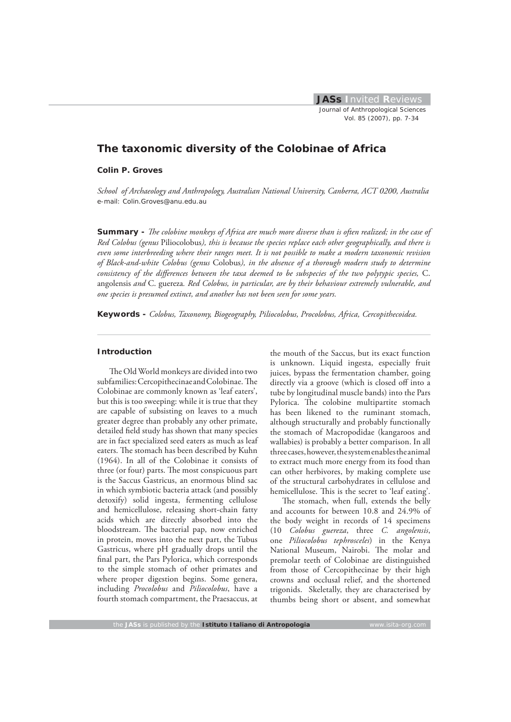# **The taxonomic diversity of the Colobinae of Africa**

#### **Colin P. Groves**

*School of Archaeology and Anthropology, Australian National University, Canberra, ACT 0200, Australia* e-mail: Colin.Groves@anu.edu.au

**Summary -** *The colobine monkeys of Africa are much more diverse than is often realized; in the case of Red Colobus (genus* Piliocolobus*), this is because the species replace each other geographically, and there is even some interbreeding where their ranges meet. It is not possible to make a modern taxonomic revision of Black-and-white Colobus (genus* Colobus*), in the absence of a thorough modern study to determine*  consistency of the differences between the taxa deemed to be subspecies of the two polytypic species, C. angolensis *and* C. guereza*. Red Colobus, in particular, are by their behaviour extremely vulnerable, and one species is presumed extinct, and another has not been seen for some years.*

**Keywords -** *Colobus, Taxonomy, Biogeography, Piliocolobus, Procolobus, Africa, Cercopithecoidea.*

# **Introduction**

The Old World monkeys are divided into two subfamilies: Cercopithecinae and Colobinae. The Colobinae are commonly known as 'leaf eaters', but this is too sweeping: while it is true that they are capable of subsisting on leaves to a much greater degree than probably any other primate, detailed field study has shown that many species are in fact specialized seed eaters as much as leaf eaters. The stomach has been described by Kuhn (1964). In all of the Colobinae it consists of three (or four) parts. The most conspicuous part is the Saccus Gastricus, an enormous blind sac in which symbiotic bacteria attack (and possibly detoxify) solid ingesta, fermenting cellulose and hemicellulose, releasing short-chain fatty acids which are directly absorbed into the bloodstream. The bacterial pap, now enriched in protein, moves into the next part, the Tubus Gastricus, where pH gradually drops until the final part, the Pars Pylorica, which corresponds to the simple stomach of other primates and where proper digestion begins. Some genera, including *Procolobus* and *Piliocolobus*, have a fourth stomach compartment, the Praesaccus, at the mouth of the Saccus, but its exact function is unknown. Liquid ingesta, especially fruit juices, bypass the fermentation chamber, going directly via a groove (which is closed off into a tube by longitudinal muscle bands) into the Pars Pylorica. The colobine multipartite stomach has been likened to the ruminant stomach, although structurally and probably functionally the stomach of Macropodidae (kangaroos and wallabies) is probably a better comparison. In all three cases, however, the system enables the animal to extract much more energy from its food than can other herbivores, by making complete use of the structural carbohydrates in cellulose and hemicellulose. This is the secret to 'leaf eating'.

The stomach, when full, extends the belly and accounts for between 10.8 and 24.9% of the body weight in records of 14 specimens (10 *Colobus guereza*, three *C. angolensis*, one *Piliocolobus tephrosceles*) in the Kenya National Museum, Nairobi. The molar and premolar teeth of Colobinae are distinguished from those of Cercopithecinae by their high crowns and occlusal relief, and the shortened trigonids. Skeletally, they are characterised by thumbs being short or absent, and somewhat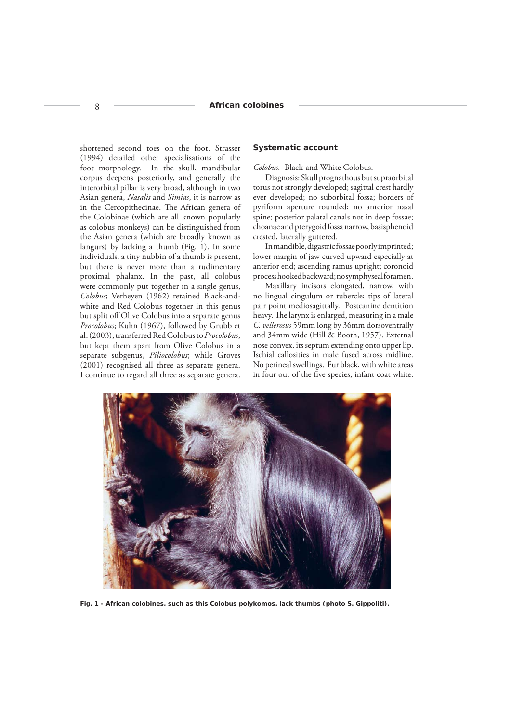shortened second toes on the foot. Strasser (1994) detailed other specialisations of the foot morphology. In the skull, mandibular corpus deepens posteriorly, and generally the interorbital pillar is very broad, although in two Asian genera, *Nasalis* and *Simias*, it is narrow as in the Cercopithecinae. The African genera of the Colobinae (which are all known popularly as colobus monkeys) can be distinguished from the Asian genera (which are broadly known as langurs) by lacking a thumb (Fig. 1). In some individuals, a tiny nubbin of a thumb is present, but there is never more than a rudimentary proximal phalanx. In the past, all colobus were commonly put together in a single genus, *Colobus*; Verheyen (1962) retained Black-andwhite and Red Colobus together in this genus but split off Olive Colobus into a separate genus *Procolobus*; Kuhn (1967), followed by Grubb et al. (2003), transferred Red Colobus to *Procolobus*, but kept them apart from Olive Colobus in a separate subgenus, *Piliocolobus*; while Groves (2001) recognised all three as separate genera. I continue to regard all three as separate genera.

#### **Systematic account**

*Colobus.* Black-and-White Colobus.

Diagnosis: Skull prognathous but supraorbital torus not strongly developed; sagittal crest hardly ever developed; no suborbital fossa; borders of pyriform aperture rounded; no anterior nasal spine; posterior palatal canals not in deep fossae; choanae and pterygoid fossa narrow, basisphenoid crested, laterally guttered.

In mandible, digastric fossae poorly imprinted; lower margin of jaw curved upward especially at anterior end; ascending ramus upright; coronoid process hooked backward; no symphyseal foramen.

Maxillary incisors elongated, narrow, with no lingual cingulum or tubercle; tips of lateral pair point mediosagittally. Postcanine dentition heavy. The larynx is enlarged, measuring in a male *C. vellerosus* 59mm long by 36mm dorsoventrally and 34mm wide (Hill & Booth, 1957). External nose convex, its septum extending onto upper lip. Ischial callosities in male fused across midline. No perineal swellings. Fur black, with white areas in four out of the five species; infant coat white.



*Fig. 1 - African colobines, such as this* **Colobus polykomos***, lack thumbs (photo S. Gippoliti).*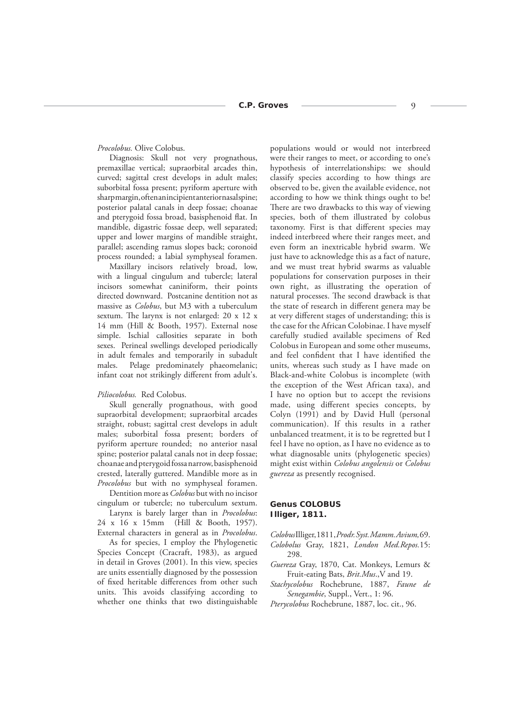# *Procolobus.* Olive Colobus.

Diagnosis: Skull not very prognathous, premaxillae vertical; supraorbital arcades thin, curved; sagittal crest develops in adult males; suborbital fossa present; pyriform aperture with sharp margin, often an incipient anterior nasal spine; posterior palatal canals in deep fossae; choanae and pterygoid fossa broad, basisphenoid flat. In mandible, digastric fossae deep, well separated; upper and lower margins of mandible straight, parallel; ascending ramus slopes back; coronoid process rounded; a labial symphyseal foramen.

Maxillary incisors relatively broad, low, with a lingual cingulum and tubercle; lateral incisors somewhat caniniform, their points directed downward. Postcanine dentition not as massive as *Colobus*, but M3 with a tuberculum sextum. The larynx is not enlarged:  $20 \times 12 \times$ 14 mm (Hill & Booth, 1957). External nose simple. Ischial callosities separate in both sexes. Perineal swellings developed periodically in adult females and temporarily in subadult males. Pelage predominately phaeomelanic; infant coat not strikingly different from adult's.

#### *Piliocolobus.* Red Colobus.

Skull generally prognathous, with good supraorbital development; supraorbital arcades straight, robust; sagittal crest develops in adult males; suborbital fossa present; borders of pyriform aperture rounded; no anterior nasal spine; posterior palatal canals not in deep fossae; choanae and pterygoid fossa narrow, basisphenoid crested, laterally guttered. Mandible more as in *Procolobus* but with no symphyseal foramen.

Dentition more as *Colobus* but with no incisor cingulum or tubercle; no tuberculum sextum.

Larynx is barely larger than in *Procolobus*: 24 x 16 x 15mm (Hill & Booth, 1957). External characters in general as in *Procolobus*.

As for species, I employ the Phylogenetic Species Concept (Cracraft, 1983), as argued in detail in Groves (2001). In this view, species are units essentially diagnosed by the possession of fixed heritable differences from other such units. This avoids classifying according to whether one thinks that two distinguishable

populations would or would not interbreed were their ranges to meet, or according to one's hypothesis of interrelationships: we should classify species according to how things are observed to be, given the available evidence, not according to how we think things ought to be! There are two drawbacks to this way of viewing species, both of them illustrated by colobus taxonomy. First is that different species may indeed interbreed where their ranges meet, and even form an inextricable hybrid swarm. We just have to acknowledge this as a fact of nature, and we must treat hybrid swarms as valuable populations for conservation purposes in their own right, as illustrating the operation of natural processes. The second drawback is that the state of research in different genera may be at very different stages of understanding; this is the case for the African Colobinae. I have myself carefully studied available specimens of Red Colobus in European and some other museums, and feel confident that I have identified the units, whereas such study as I have made on Black-and-white Colobus is incomplete (with the exception of the West African taxa), and I have no option but to accept the revisions made, using different species concepts, by Colyn (1991) and by David Hull (personal communication). If this results in a rather unbalanced treatment, it is to be regretted but I feel I have no option, as I have no evidence as to what diagnosable units (phylogenetic species) might exist within *Colobus angolensis* or *Colobus guereza* as presently recognised.

# **Genus COLOBUS Illiger, 1811.**

*Colobus* Illiger, 1811, *Prodr. Syst. Mamm. Avium,* 69. *Colobolus* Gray, 1821, *London Med.Repos.*15:

- 298. *Guereza* Gray, 1870, Cat. Monkeys, Lemurs & Fruit-eating Bats, *Brit.Mus*.,V and 19.
- *Stachycolobus* Rochebrune, 1887, *Faune de Senegambie*, Suppl., Vert., 1: 96.

*Pterycolobus* Rochebrune, 1887, loc. cit., 96.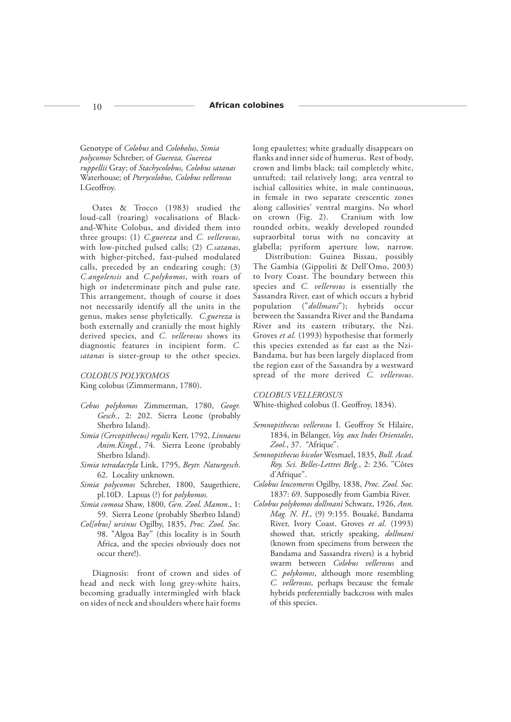Genotype of *Colobus* and *Colobolus*, *Simia polycomos* Schreber; of *Guereza, Guereza ruppellii* Gray; of *Stachycolobus, Colobus satanas* Waterhouse; of *Pterycolobus, Colobus vellerosus* I.Geoffroy.

Oates & Trocco (1983) studied the loud-call (roaring) vocalisations of Blackand-White Colobus, and divided them into three groups: (1) *C.guereza* and *C. vellerosus*, with low-pitched pulsed calls; (2) *C.satanas*, with higher-pitched, fast-pulsed modulated calls, preceded by an endearing cough; (3) *C.angolensis* and *C.polykomos*, with roars of high or indeterminate pitch and pulse rate. This arrangement, though of course it does not necessarily identify all the units in the genus, makes sense phyletically. *C.guereza* is both externally and cranially the most highly derived species, and *C. vellerosus* shows its diagnostic features in incipient form. *C. satanas* is sister-group to the other species.

*COLOBUS POLYKOMOS*

King colobus (Zimmermann, 1780).

- *Cebus polykomos* Zimmerman, 1780, *Geogr. Gesch.*, 2: 202. Sierra Leone (probably Sherbro Island).
- *Simia (Cercopithecus) regalis* Kerr, 1792, *Linnaeus Anim.Kingd.*, 74. Sierra Leone (probably Sherbro Island).
- *Simia tetradactyla* Link, 1795, *Beytr. Naturgesch*. 62. Locality unknown.
- *Simia polycomos* Schreber, 1800, Saugethiere, pl.10D. Lapsus (?) for *polykomos.*
- *Simia comosa* Shaw, 1800, *Gen. Zool. Mamm*., 1: 59. Sierra Leone (probably Sherbro Island)
- *Col[obus] ursinus* Ogilby, 1835, *Proc. Zool. Soc.*  98. "Algoa Bay" (this locality is in South Africa, and the species obviously does not occur there!).

Diagnosis: front of crown and sides of head and neck with long grey-white hairs, becoming gradually intermingled with black on sides of neck and shoulders where hair forms

long epaulettes; white gradually disappears on flanks and inner side of humerus. Rest of body, crown and limbs black; tail completely white, untufted; tail relatively long; area ventral to ischial callosities white, in male continuous, in female in two separate crescentic zones along callosities' ventral margins. No whorl<br>on crown (Fig. 2). Cranium with low Cranium with low rounded orbits, weakly developed rounded supraorbital torus with no concavity at glabella; pyriform aperture low, narrow.

Distribution: Guinea Bissau, possibly The Gambia (Gippoliti & Dell'Omo, 2003) to Ivory Coast. The boundary between this species and *C. vellerosus* is essentially the Sassandra River, east of which occurs a hybrid population ("*dollmani*"); hybrids occur between the Sassandra River and the Bandama River and its eastern tributary, the Nzi. Groves *et al.* (1993) hypothesise that formerly this species extended as far east as the Nzi-Bandama, but has been largely displaced from the region east of the Sassandra by a westward spread of the more derived *C. vellerosus*.

*COLOBUS VELLEROSUS*

White-thighed colobus (I. Geoffroy, 1834).

- Semnopithecus vellerosus I. Geoffroy St Hilaire, 1834, in Bélanger, *Voy. aux Indes Orientales*, *Zool.*, 37. "Afrique".
- *Semnopithecus bicolor* Wesmael, 1835, *Bull. Acad. Roy. Sci. Belles-Lettres Belg.*, 2: 236. "Côtes d'Afrique".
- *Colobus leucomeros* Ogilby, 1838, *Proc. Zool. Soc.*  1837: 69. Supposedly from Gambia River.
- *Colobus polykomos dollmani* Schwarz, 1926, *Ann. Mag. N. H.,* (9) 9:155. Bouaké, Bandama River, Ivory Coast. Groves *et al*. (1993) showed that, strictly speaking, *dollmani*  (known from specimens from between the Bandama and Sassandra rivers) is a hybrid swarm between *Colobus vellerosus* and *C. polykomos*, although more resembling *C. vellerosus*, perhaps because the female hybrids preferentially backcross with males of this species.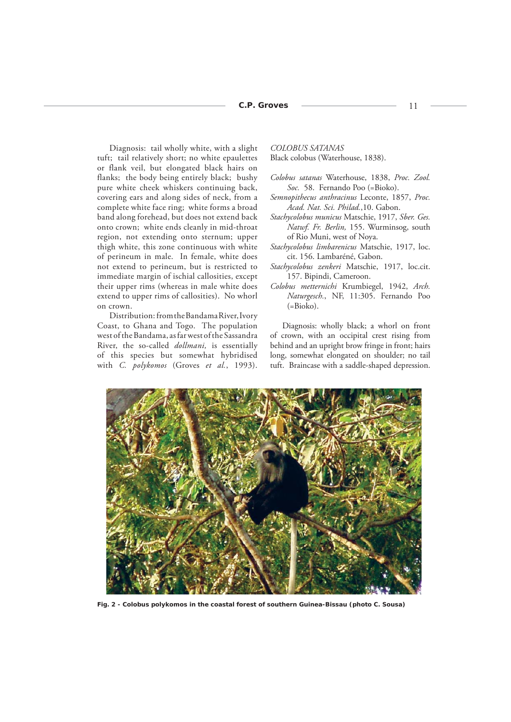Diagnosis: tail wholly white, with a slight tuft; tail relatively short; no white epaulettes or flank veil, but elongated black hairs on flanks; the body being entirely black; bushy pure white cheek whiskers continuing back, covering ears and along sides of neck, from a complete white face ring; white forms a broad band along forehead, but does not extend back onto crown; white ends cleanly in mid-throat region, not extending onto sternum; upper thigh white, this zone continuous with white of perineum in male. In female, white does not extend to perineum, but is restricted to immediate margin of ischial callosities, except their upper rims (whereas in male white does extend to upper rims of callosities). No whorl on crown.

Distribution: from the Bandama River, Ivory Coast, to Ghana and Togo. The population west of the Bandama, as far west of the Sassandra River, the so-called *dollmani,* is essentially of this species but somewhat hybridised with *C. polykomos* (Groves *et al.*, 1993). *COLOBUS SATANAS*

Black colobus (Waterhouse, 1838).

- *Colobus satanas* Waterhouse, 1838, *Proc. Zool. Soc.* 58. Fernando Poo (=Bioko).
- *Semnopithecus anthracinus* Leconte, 1857, *Proc. Acad. Nat. Sci. Philad.*,10. Gabon.
- *Stachycolobus municus* Matschie, 1917, *Sber. Ges. Natwf. Fr. Berlin,* 155. Wurminsog, south of Rio Muni, west of Noya.
- *Stachycolobus limbarenicus* Matschie, 1917, loc. cit. 156. Lambaréné, Gabon.
- *Stachycolobus zenkeri* Matschie, 1917, loc.cit. 157. Bipindi, Cameroon.
- *Colobus metternichi* Krumbiegel, 1942, *Arch. Naturgesch.*, NF, 11:305. Fernando Poo (=Bioko).

Diagnosis: wholly black; a whorl on front of crown, with an occipital crest rising from behind and an upright brow fringe in front; hairs long, somewhat elongated on shoulder; no tail tuft. Braincase with a saddle-shaped depression.



*Fig. 2 - Colobus polykomos in the coastal forest of southern Guinea-Bissau (photo C. Sousa)*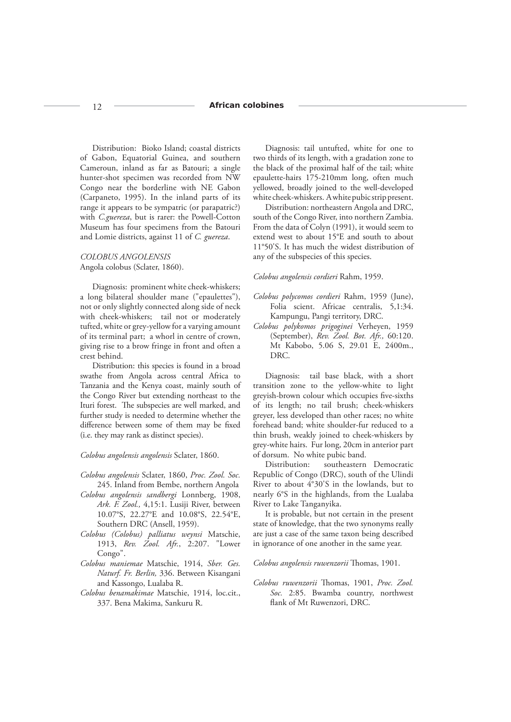#### 12 **African colobines**

Distribution: Bioko Island; coastal districts of Gabon, Equatorial Guinea, and southern Cameroun, inland as far as Batouri; a single hunter-shot specimen was recorded from NW Congo near the borderline with NE Gabon (Carpaneto, 1995). In the inland parts of its range it appears to be sympatric (or parapatric?) with *C.guereza*, but is rarer: the Powell-Cotton Museum has four specimens from the Batouri and Lomie districts, against 11 of *C. guereza*.

# *COLOBUS ANGOLENSIS* Angola colobus (Sclater, 1860).

Diagnosis: prominent white cheek-whiskers; a long bilateral shoulder mane ("epaulettes"), not or only slightly connected along side of neck with cheek-whiskers; tail not or moderately tufted, white or grey-yellow for a varying amount of its terminal part; a whorl in centre of crown, giving rise to a brow fringe in front and often a crest behind.

Distribution: this species is found in a broad swathe from Angola across central Africa to Tanzania and the Kenya coast, mainly south of the Congo River but extending northeast to the Ituri forest. The subspecies are well marked, and further study is needed to determine whether the difference between some of them may be fixed (i.e. they may rank as distinct species).

*Colobus angolensis angolensis* Sclater, 1860.

- *Colobus angolensis* Sclater, 1860, *Proc. Zool. Soc.*  245. Inland from Bembe, northern Angola
- *Colobus angolensis sandbergi* Lonnberg, 1908, *Ark. F. Zool.,* 4,15:1. Lusiji River, between 10.07°S, 22.27°E and 10.08°S, 22.54°E, Southern DRC (Ansell, 1959).
- *Colobus (Colobus) palliatus weynsi* Matschie, 1913, *Rev. Zool. Afr.*, 2:207. "Lower Congo".
- *Colobus maniemae* Matschie, 1914, *Sber. Ges. Naturf. Fr. Berlin,* 336. Between Kisangani and Kassongo, Lualaba R.
- *Colobus benamakimae* Matschie, 1914, loc.cit., 337. Bena Makima, Sankuru R.

Diagnosis: tail untufted, white for one to two thirds of its length, with a gradation zone to the black of the proximal half of the tail; white epaulette-hairs 175-210mm long, often much yellowed, broadly joined to the well-developed white cheek-whiskers. A white pubic strip present.

Distribution: northeastern Angola and DRC, south of the Congo River, into northern Zambia. From the data of Colyn (1991), it would seem to extend west to about 15°E and south to about 11°50'S. It has much the widest distribution of any of the subspecies of this species.

# *Colobus angolensis cordieri* Rahm, 1959.

- *Colobus polycomos cordieri* Rahm, 1959 (June), Folia scient. Africae centralis, 5,1:34. Kampungu, Pangi territory, DRC.
- *Colobus polykomos prigoginei* Verheyen, 1959 (September), *Rev. Zool. Bot. Afr.,* 60:120. Mt Kabobo, 5.06 S, 29.01 E, 2400m., DRC.

Diagnosis: tail base black, with a short transition zone to the yellow-white to light greyish-brown colour which occupies five-sixths of its length; no tail brush; cheek-whiskers greyer, less developed than other races; no white forehead band; white shoulder-fur reduced to a thin brush, weakly joined to cheek-whiskers by grey-white hairs. Fur long, 20cm in anterior part of dorsum. No white pubic band.

Distribution: southeastern Democratic Republic of Congo (DRC), south of the Ulindi River to about  $4^{\circ}30^{\prime}$ S in the lowlands, but to nearly 6°S in the highlands, from the Lualaba River to Lake Tanganyika.

It is probable, but not certain in the present state of knowledge, that the two synonyms really are just a case of the same taxon being described in ignorance of one another in the same year.

*Colobus angolensis ruwenzorii* Thomas, 1901.

*Colobus ruwenzorii* Th omas, 1901, *Proc. Zool. Soc.* 2:85. Bwamba country, northwest flank of Mt Ruwenzori, DRC.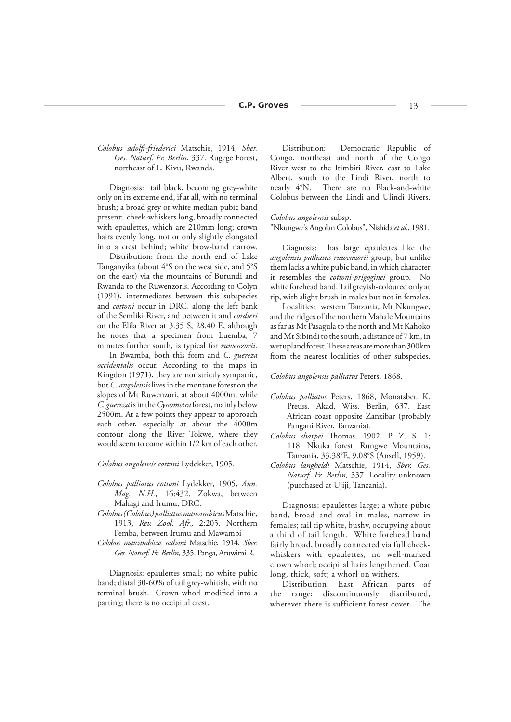*Colobus adolfi -friederici* Matschie, 1914, *Sber. Ges. Naturf. Fr. Berlin*, 337. Rugege Forest, northeast of L. Kivu, Rwanda.

Diagnosis: tail black, becoming grey-white only on its extreme end, if at all, with no terminal brush; a broad grey or white median pubic band present; cheek-whiskers long, broadly connected with epaulettes, which are 210mm long; crown hairs evenly long, not or only slightly elongated into a crest behind; white brow-band narrow.

Distribution: from the north end of Lake Tanganyika (about 4°S on the west side, and 5°S on the east) via the mountains of Burundi and Rwanda to the Ruwenzoris. According to Colyn (1991), intermediates between this subspecies and *cottoni* occur in DRC, along the left bank of the Semliki River, and between it and *cordieri* on the Elila River at 3.35 S, 28.40 E, although he notes that a specimen from Luemba, 7 minutes further south, is typical for *ruwenzorii*.

In Bwamba, both this form and *C. guereza occidentalis* occur. According to the maps in Kingdon (1971), they are not strictly sympatric, but *C. angolensis* lives in the montane forest on the slopes of Mt Ruwenzori, at about 4000m, while *C. guereza* is in the *Cynometra* forest, mainly below 2500m. At a few points they appear to approach each other, especially at about the 4000m contour along the River Tokwe, where they would seem to come within 1/2 km of each other.

*Colobus angolensis cottoni* Lydekker, 1905.

- *Colobus palliatus cottoni* Lydekker, 1905, *Ann. Mag. N.H.,* 16:432. Zokwa, between Mahagi and Irumu, DRC.
- *Colobus (Colobus) palliatus mawambicus* Matschie, 1913, *Rev. Zool. Afr.,* 2:205. Northern Pemba, between Irumu and Mawambi
- *Colobus mawambicus nahani* Matschie, 1914, *Sber. Ges. Naturf. Fr. Berlin,* 335. Panga, Aruwimi R.

Diagnosis: epaulettes small; no white pubic band; distal 30-60% of tail grey-whitish, with no terminal brush. Crown whorl modified into a parting; there is no occipital crest.

Distribution: Democratic Republic of Congo, northeast and north of the Congo River west to the Itimbiri River, east to Lake Albert, south to the Lindi River, north to nearly 4°N. There are no Black-and-white Colobus between the Lindi and Ulindi Rivers.

#### *Colobus angolensis* subsp.

"Nkungwe's Angolan Colobus", Nishida *et al.*, 1981.

Diagnosis: has large epaulettes like the *angolensis-palliatus-ruwenzorii* group, but unlike them lacks a white pubic band, in which character it resembles the *cottoni*-*prigoginei* group. No white forehead band. Tail greyish-coloured only at tip, with slight brush in males but not in females.

Localities: western Tanzania, Mt Nkungwe, and the ridges of the northern Mahale Mountains as far as Mt Pasagula to the north and Mt Kahoko and Mt Sibindi to the south, a distance of 7 km, in wet upland forest. These areas are more than 300km from the nearest localities of other subspecies.

#### *Colobus angolensis palliatus* Peters, 1868.

- *Colobus palliatus* Peters, 1868, Monatsber. K. Preuss. Akad. Wiss. Berlin, 637. East African coast opposite Zanzibar (probably Pangani River, Tanzania).
- *Colobus sharpei* Thomas, 1902, P. Z. S. 1: 118. Nkuka forest, Rungwe Mountains, Tanzania, 33.38°E, 9.08°S (Ansell, 1959).
- *Colobus langheldi* Matschie, 1914, *Sber. Ges. Naturf. Fr. Berlin,* 337. Locality unknown (purchased at Ujiji, Tanzania).

Diagnosis: epaulettes large; a white pubic band, broad and oval in males, narrow in females; tail tip white, bushy, occupying about a third of tail length. White forehead band fairly broad, broadly connected via full cheekwhiskers with epaulettes; no well-marked crown whorl; occipital hairs lengthened. Coat long, thick, soft; a whorl on withers.

Distribution: East African parts of the range; discontinuously distributed, wherever there is sufficient forest cover. The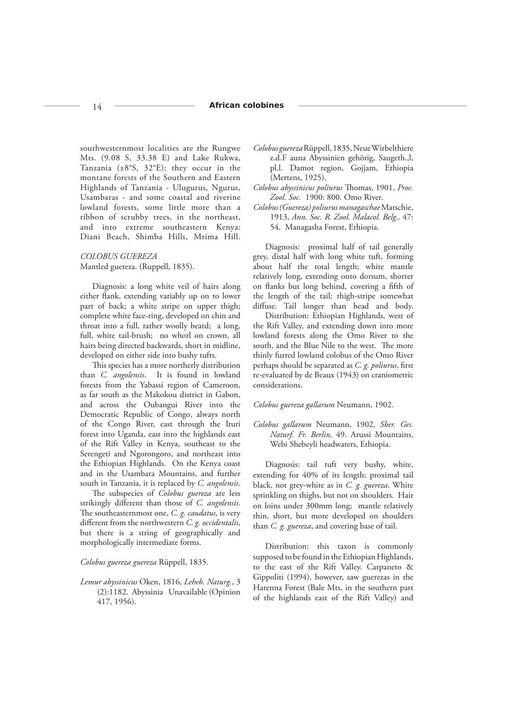### 14 **African colobines**

southwesternmost localities are the Rungwe Mts. (9.08 S, 33.38 E) and Lake Rukwa, Tanzania (±8°S, 32°E); they occur in the montane forests of the Southern and Eastern Highlands of Tanzania - Ulugurus, Ngurus, Usambaras - and some coastal and riverine lowland forests, some little more than a ribbon of scrubby trees, in the northeast, and into extreme southeastern Kenya: Diani Beach, Shimba Hills, Mrima Hill.

*COLOBUS GUEREZA* Mantled guereza. (Ruppell, 1835).

Diagnosis: a long white veil of hairs along either flank, extending variably up on to lower part of back; a white stripe on upper thigh; complete white face-ring, developed on chin and throat into a full, rather woolly beard; a long, full, white tail-brush; no whorl on crown, all hairs being directed backwards, short in midline, developed on either side into bushy tufts.

This species has a more northerly distribution than *C. angolensis*. It is found in lowland forests from the Yabassi region of Cameroon, as far south as the Makokou district in Gabon, and across the Oubangui River into the Democratic Republic of Congo, always north of the Congo River, east through the Ituri forest into Uganda, east into the highlands east of the Rift Valley in Kenya, southeast to the Serengeti and Ngorongoro, and northeast into the Ethiopian Highlands. On the Kenya coast and in the Usambara Mountains, and further south in Tanzania, it is replaced by *C. angolensis*.

The subspecies of *Colobus guereza* are less strikingly different than those of *C. angolensis*. The southeasternmost one, *C. g. caudatus*, is very different from the northwestern *C. g. occidentalis*, but there is a string of geographically and morphologically intermediate forms.

*Colobus guereza guereza* Rüppell, 1835.

*Lemur abyssinicus* Oken, 1816, *Leheb. Naturg.*, 3 (2):1182. Abyssinia Unavailable (Opinion 417, 1956).

- *Colobus guereza* Rüppell, 1835, Neue Wirbelthiere z.d.F auna Abyssinien gehörig, Saugeth.,l, pl.l. Damot region, Gojjam, Ethiopia (Mertens, 1925).
- *Colobus abyssinicus poliurus* Thomas, 1901, *Proc. Zool. Soc.* 1900: 800. Omo River.
- *Colobus (Guereza) poliurus managaschae* Matschie, 1913, *Ann. Soc. R. Zool. Malacol. Belg.,* 47: 54. Managasha Forest, Ethiopia.

Diagnosis: proximal half of tail generally grey, distal half with long white tuft, forming about half the total length; white mantle relatively long, extending onto dorsum, shorter on flanks but long behind, covering a fifth of the length of the tail; thigh-stripe somewhat diffuse. Tail longer than head and body.

Distribution: Ethiopian Highlands, west of the Rift Valley, and extending down into more lowland forests along the Omo River to the south, and the Blue Nile to the west. The more thinly furred lowland colobus of the Omo River perhaps should be separated as *C. g. poliurus*, first re-evaluated by de Beaux (1943) on craniometric considerations.

*Colobus guereza gallarum* Neumann, 1902.

# *Colobus gallarum* Neumann, 1902, *Sber. Ges. Naturf. Fr. Berlin,* 49. Arussi Mountains, Webi Shebeyli headwaters, Ethiopia.

Diagnosis: tail tuft very bushy, white, extending for 40% of its length; proximal tail black, not grey-white as in *C. g. guereza*. White sprinkling on thighs, but not on shoulders. Hair on loins under 300mm long; mantle relatively thin, short, but more developed on shoulders than *C. g. guereza*, and covering base of tail.

Distribution: this taxon is commonly supposed to be found in the Ethiopian Highlands, to the east of the Rift Valley. Carpaneto & Gippoliti (1994), however, saw guerezas in the Harenna Forest (Bale Mts, in the southern part of the highlands east of the Rift Valley) and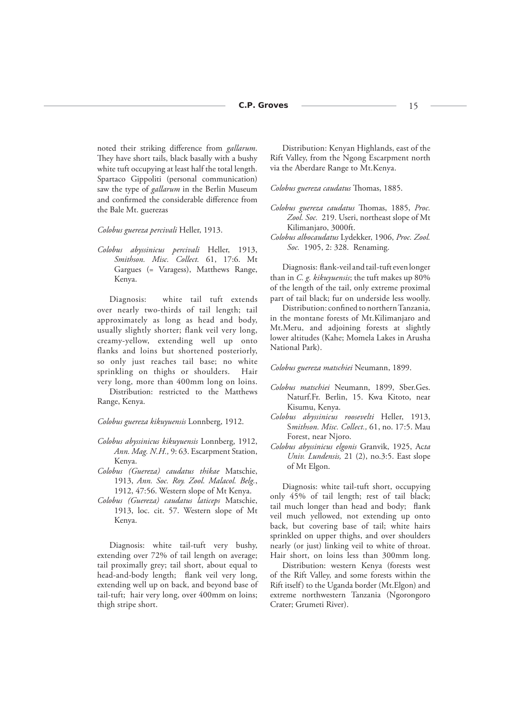noted their striking difference from *gallarum*. They have short tails, black basally with a bushy white tuft occupying at least half the total length. Spartaco Gippoliti (personal communication) saw the type of *gallarum* in the Berlin Museum and confirmed the considerable difference from the Bale Mt. guerezas

*Colobus guereza percivali* Heller, 1913.

*Colobus abyssinicus percivali* Heller, 1913, *Smithson. Misc. Collect.* 61, 17:6. Mt Gargues (= Varagess), Matthews Range, Kenya.

Diagnosis: white tail tuft extends over nearly two-thirds of tail length; tail approximately as long as head and body, usually slightly shorter; flank veil very long, creamy-yellow, extending well up onto flanks and loins but shortened posteriorly, so only just reaches tail base; no white sprinkling on thighs or shoulders. Hair very long, more than 400mm long on loins.

Distribution: restricted to the Matthews Range, Kenya.

*Colobus guereza kikuyuensis* Lonnberg, 1912.

- *Colobus abyssinicus kikuyuensis* Lonnberg, 1912, *Ann. Mag. N.H.,* 9: 63. Escarpment Station, Kenya.
- *Colobus (Guereza) caudatus thikae* Matschie, 1913, *Ann. Soc. Roy. Zool. Malacol. Belg.*, 1912, 47:56. Western slope of Mt Kenya.
- *Colobus (Guereza) caudatus laticeps* Matschie, 1913, loc. cit. 57. Western slope of Mt Kenya.

Diagnosis: white tail-tuft very bushy, extending over 72% of tail length on average; tail proximally grey; tail short, about equal to head-and-body length; flank veil very long, extending well up on back, and beyond base of tail-tuft; hair very long, over 400mm on loins; thigh stripe short.

Distribution: Kenyan Highlands, east of the Rift Valley, from the Ngong Escarpment north via the Aberdare Range to Mt.Kenya.

*Colobus guereza caudatus* Thomas, 1885.

- *Colobus guereza caudatus* Thomas, 1885, *Proc. Zool. Soc.* 219. Useri, northeast slope of Mt Kilimanjaro, 3000ft.
- *Colobus albocaudatus* Lydekker, 1906, *Proc. Zool. Soc.* 1905, 2: 328. Renaming.

Diagnosis: flank-veil and tail-tuft even longer than in *C. g. kikuyuensis*; the tuft makes up 80% of the length of the tail, only extreme proximal part of tail black; fur on underside less woolly.

Distribution: confined to northern Tanzania, in the montane forests of Mt.Kilimanjaro and Mt.Meru, and adjoining forests at slightly lower altitudes (Kahe; Momela Lakes in Arusha National Park).

*Colobus guereza matschiei* Neumann, 1899.

- *Colobus matschiei* Neumann, 1899, Sber.Ges. Naturf.Fr. Berlin, 15. Kwa Kitoto, near Kisumu, Kenya.
- *Colobus abyssinicus roosevelti* Heller, 1913, S*mithson. Misc. Collect.,* 61, no. 17:5. Mau Forest, near Njoro.
- *Colobus abyssinicus elgonis* Granvik, 1925, Ac*ta Univ. Lundensis,* 21 (2), no.3:5. East slope of Mt Elgon.

Diagnosis: white tail-tuft short, occupying only 45% of tail length; rest of tail black; tail much longer than head and body; flank veil much yellowed, not extending up onto back, but covering base of tail; white hairs sprinkled on upper thighs, and over shoulders nearly (or just) linking veil to white of throat. Hair short, on loins less than 300mm long.

Distribution: western Kenya (forests west of the Rift Valley, and some forests within the Rift itself) to the Uganda border (Mt.Elgon) and extreme northwestern Tanzania (Ngorongoro Crater; Grumeti River).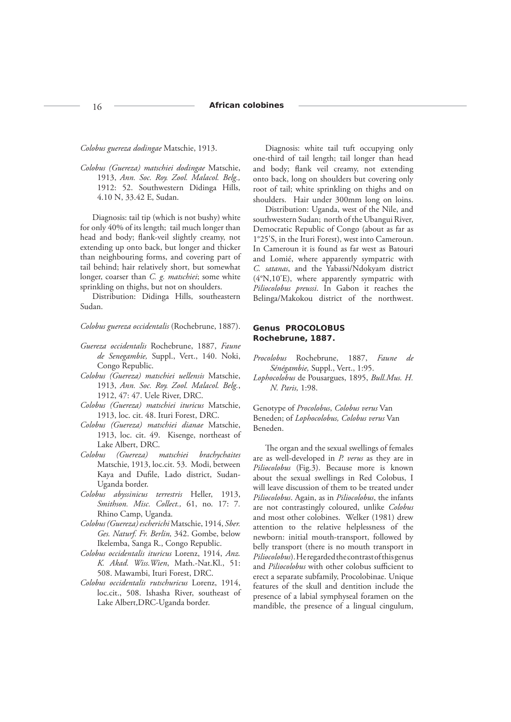*Colobus guereza dodingae* Matschie, 1913.

*Colobus (Guereza) matschiei dodingae* Matschie, 1913, *Ann. Soc. Roy. Zool. Malacol. Belg.,* 1912: 52. Southwestern Didinga Hills, 4.10 N, 33.42 E, Sudan.

Diagnosis: tail tip (which is not bushy) white for only 40% of its length; tail much longer than head and body; flank-veil slightly creamy, not extending up onto back, but longer and thicker than neighbouring forms, and covering part of tail behind; hair relatively short, but somewhat longer, coarser than *C. g. matschiei*; some white sprinkling on thighs, but not on shoulders.

Distribution: Didinga Hills, southeastern Sudan.

*Colobus guereza occidentalis* (Rochebrune, 1887).

- *Guereza occidentalis* Rochebrune, 1887, *Faune de Senegambie,* Suppl., Vert., 140. Noki, Congo Republic.
- *Colobus (Guereza) matschiei uellensis* Matschie, 1913, *Ann. Soc. Roy. Zool. Malacol. Belg.*, 1912, 47: 47. Uele River, DRC.
- *Colobus (Guereza) matschiei ituricus* Matschie, 1913, loc. cit. 48. Ituri Forest, DRC.
- *Colobus (Guereza) matschiei dianae* Matschie, 1913, loc. cit. 49. Kisenge, northeast of Lake Albert, DRC.
- *Colobus (Guereza) matschiei brachychaites* Matschie, 1913, loc.cit. 53. Modi, between Kaya and Dufile, Lado district, Sudan-Uganda border.
- *Colobus abyssinicus terrestris* Heller, 1913, *Smithson. Misc. Collect.,* 61, no. 17: 7*.* Rhino Camp, Uganda.
- *Colobus (Guereza) escherichi* Matschie, 1914, *Sber. Ges. Naturf. Fr. Berlin,* 342. Gombe, below Ikelemba, Sanga R., Congo Republic.
- *Colobus occidentalis ituricus* Lorenz, 1914, *Anz. K. Akad. Wiss.Wien*, Math.-Nat.Kl., 51: 508. Mawambi, Ituri Forest, DRC.
- *Colobus occidentalis rutschuricus* Lorenz, 1914, loc.cit., 508. Ishasha River, southeast of Lake Albert,DRC-Uganda border.

Diagnosis: white tail tuft occupying only one-third of tail length; tail longer than head and body; flank veil creamy, not extending onto back, long on shoulders but covering only root of tail; white sprinkling on thighs and on shoulders. Hair under 300mm long on loins.

Distribution: Uganda, west of the Nile, and southwestern Sudan; north of the Ubangui River, Democratic Republic of Congo (about as far as 1°25'S, in the Ituri Forest), west into Cameroun. In Cameroun it is found as far west as Batouri and Lomié, where apparently sympatric with *C. satanas*, and the Yabassi/Ndokyam district (4°N,10'E), where apparently sympatric with *Piliocolobus preussi*. In Gabon it reaches the Belinga/Makokou district of the northwest.

# **Genus** *PROCOLOBUS* **Rochebrune, 1887.**

- *Procolobus* Rochebrune, 1887, *Faune de Sénégambie,* Suppl., Vert., 1:95.
- *Lophocolobus* de Pousargues, 1895, *Bull.Mus. H. N. Paris,* 1:98.

Genotype of *Procolobus*, *Colobus verus* Van Beneden; of *Lophocolobus, Colobus verus* Van Beneden.

The organ and the sexual swellings of females are as well-developed in *P. verus* as they are in *Piliocolobus* (Fig.3). Because more is known about the sexual swellings in Red Colobus, I will leave discussion of them to be treated under *Piliocolobus*. Again, as in *Piliocolobus*, the infants are not contrastingly coloured, unlike *Colobus* and most other colobines. Welker (1981) drew attention to the relative helplessness of the newborn: initial mouth-transport, followed by belly transport (there is no mouth transport in *Piliocolobus*). He regarded the contrast of this genus and Piliocolobus with other colobus sufficient to erect a separate subfamily, Procolobinae. Unique features of the skull and dentition include the presence of a labial symphyseal foramen on the mandible, the presence of a lingual cingulum,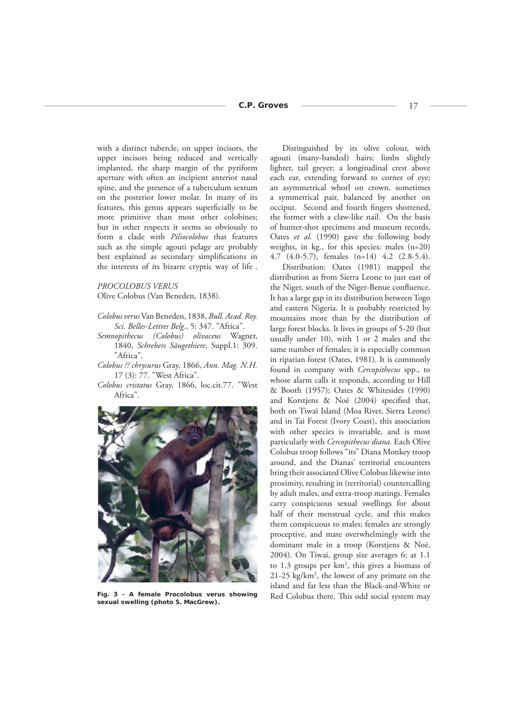with a distinct tubercle, on upper incisors, the upper incisors being reduced and vertically implanted, the sharp margin of the pyriform aperture with often an incipient anterior nasal spine, and the presence of a tuberculum sextum on the posterior lower molar. In many of its features, this genus appears superficially to be more primitive than most other colobines; but in other respects it seems so obviously to form a clade with *Piliocolobus* that features such as the simple agouti pelage are probably best explained as secondary simplifications in the interests of its bizarre cryptic way of life .

#### *PROCOLOBUS VERUS*

Olive Colobus (Van Beneden, 1838).

- *Colobus verus* Van Beneden, 1838, *Bull. Acad. Roy. Sci. Belles-Lettres Belg.*, 5: 347. "Africa".
- *Semnopithecus (Colobus) olivaceus* Wagner, 1840, *Schrebers Säugethiere*, Suppl.1: 309. "Africa".
- *Colobus ?? chrysurus* Gray, 1866, *Ann. Mag. N.H.* 17 (3): 77. "West Africa".
- *Colobus cristatus* Gray, 1866, loc.cit.77. "West Africa".



*sexual swelling (photo S. MacGrew).*

Distinguished by its olive colour, with agouti (many-banded) hairs; limbs slightly lighter, tail greyer; a longitudinal crest above each ear, extending forward to corner of eye; an asymmetrical whorl on crown, sometimes a symmetrical pair, balanced by another on occiput. Second and fourth fingers shortened, the former with a claw-like nail. On the basis of hunter-shot specimens and museum records, Oates *et al.* (1990) gave the following body weights, in kg., for this species: males (n=20) 4.7 (4.0-5.7), females (n=14) 4.2 (2.8-5.4).

Distribution: Oates (1981) mapped the distribution as from Sierra Leone to just east of the Niger, south of the Niger-Benue confluence. It has a large gap in its distribution between Togo and eastern Nigeria. It is probably restricted by mountains more than by the distribution of large forest blocks. It lives in groups of 5-20 (but usually under 10), with 1 or 2 males and the same number of females; it is especially common in riparian forest (Oates, 1981). It is commonly found in company with *Cercopithecus* spp., to whose alarm calls it responds, according to Hill & Booth (1957); Oates & Whitesides (1990) and Korstjens & Noë (2004) specified that, both on Tiwai Island (Moa River, Sierra Leone) and in Tai Forest (Ivory Coast), this association with other species is invariable, and is most particularly with *Cercopithecus diana*. Each Olive Colobus troop follows "its" Diana Monkey troop around, and the Dianas' territorial encounters bring their associated Olive Colobus likewise into proximity, resulting in (territorial) countercalling by adult males, and extra-troop matings. Females carry conspicuous sexual swellings for about half of their menstrual cycle, and this makes them conspicuous to males; females are strongly proceptive, and mate overwhelmingly with the dominant male in a troop (Korstjens & Noë, 2004). On Tiwai, group size averages 6; at 1.1 to 1.3 groups per km<sup>2</sup>, this gives a biomass of 21-25 kg/km2 , the lowest of any primate on the island and far less than the Black-and-White or Fig. 3 - A female Procolobus verus showing Red Colobus there. This odd social system may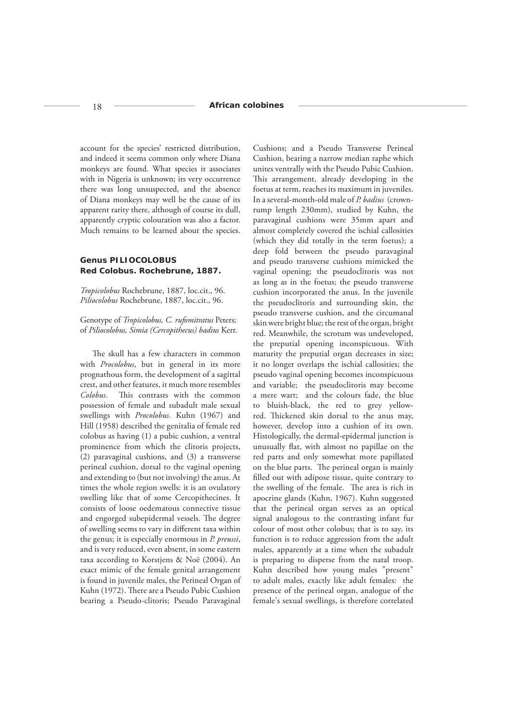account for the species' restricted distribution, and indeed it seems common only where Diana monkeys are found. What species it associates with in Nigeria is unknown; its very occurrence there was long unsuspected, and the absence of Diana monkeys may well be the cause of its apparent rarity there, although of course its dull, apparently cryptic colouration was also a factor. Much remains to be learned about the species.

# **Genus** *PILIOCOLOBUS* **Red Colobus. Rochebrune, 1887.**

*Tropicolobus* Rochebrune, 1887, loc.cit., 96. *Piliocolobus* Rochebrune, 1887, loc.cit., 96.

Genotype of *Tropicolobus, C. rufomitratus* Peters; of *Piliocolobus, Simia (Cercopithecus) badius* Kerr.

The skull has a few characters in common with *Procolobus*, but in general in its more prognathous form, the development of a sagittal crest, and other features, it much more resembles *Colobus*. This contrasts with the common possession of female and subadult male sexual swellings with *Procolobus.* Kuhn (1967) and Hill (1958) described the genitalia of female red colobus as having (1) a pubic cushion, a ventral prominence from which the clitoris projects, (2) paravaginal cushions, and (3) a transverse perineal cushion, dorsal to the vaginal opening and extending to (but not involving) the anus. At times the whole region swells: it is an ovulatory swelling like that of some Cercopithecines. It consists of loose oedematous connective tissue and engorged subepidermal vessels. The degree of swelling seems to vary in different taxa within the genus; it is especially enormous in *P. preussi*, and is very reduced, even absent, in some eastern taxa according to Korstjens & Noë (2004). An exact mimic of the female genital arrangement is found in juvenile males, the Perineal Organ of Kuhn (1972). There are a Pseudo Pubic Cushion bearing a Pseudo-clitoris; Pseudo Paravaginal

Cushions; and a Pseudo Transverse Perineal Cushion, bearing a narrow median raphe which unites ventrally with the Pseudo Pubic Cushion. This arrangement, already developing in the foetus at term, reaches its maximum in juveniles. In a several-month-old male of *P. badius* (crownrump length 230mm), studied by Kuhn, the paravaginal cushions were 35mm apart and almost completely covered the ischial callosities (which they did totally in the term foetus); a deep fold between the pseudo paravaginal and pseudo transverse cushions mimicked the vaginal opening; the pseudoclitoris was not as long as in the foetus; the pseudo transverse cushion incorporated the anus. In the juvenile the pseudoclitoris and surrounding skin, the pseudo transverse cushion, and the circumanal skin were bright blue; the rest of the organ, bright red. Meanwhile, the scrotum was undeveloped, the preputial opening inconspicuous. With maturity the preputial organ decreases in size; it no longer overlaps the ischial callosities; the pseudo vaginal opening becomes inconspicuous and variable; the pseudoclitoris may become a mere wart; and the colours fade, the blue to bluish-black, the red to grey yellowred. Thickened skin dorsal to the anus may, however, develop into a cushion of its own. Histologically, the dermal-epidermal junction is unusually flat, with almost no papillae on the red parts and only somewhat more papillated on the blue parts. The perineal organ is mainly filled out with adipose tissue, quite contrary to the swelling of the female. The area is rich in apocrine glands (Kuhn, 1967). Kuhn suggested that the perineal organ serves as an optical signal analogous to the contrasting infant fur colour of most other colobus; that is to say, its function is to reduce aggression from the adult males, apparently at a time when the subadult is preparing to disperse from the natal troop. Kuhn described how young males "present" to adult males, exactly like adult females: the presence of the perineal organ, analogue of the female's sexual swellings, is therefore correlated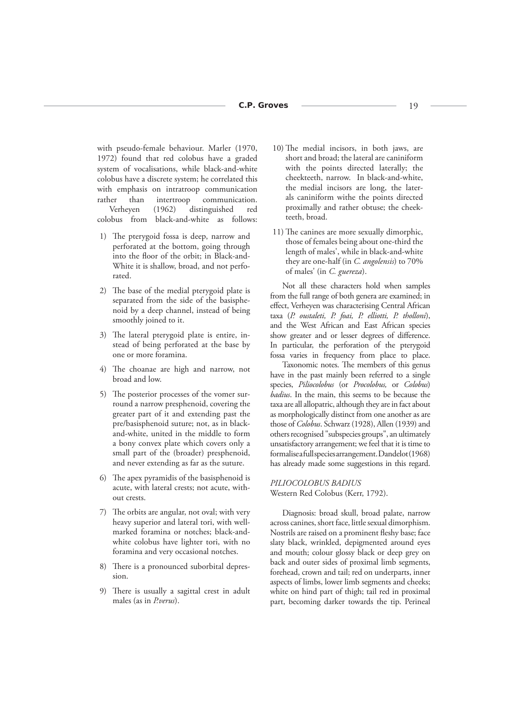with pseudo-female behaviour. Marler (1970, 1972) found that red colobus have a graded system of vocalisations, while black-and-white colobus have a discrete system; he correlated this with emphasis on intratroop communication rather than intertroop communication. Verheyen (1962) distinguished red colobus from black-and-white as follows:

- 1) The pterygoid fossa is deep, narrow and perforated at the bottom, going through into the floor of the orbit; in Black-and-White it is shallow, broad, and not perforated.
- 2) The base of the medial pterygoid plate is separated from the side of the basisphenoid by a deep channel, instead of being smoothly joined to it.
- 3) The lateral pterygoid plate is entire, instead of being perforated at the base by one or more foramina.
- 4) The choanae are high and narrow, not broad and low.
- 5) The posterior processes of the vomer surround a narrow presphenoid, covering the greater part of it and extending past the pre/basisphenoid suture; not, as in blackand-white, united in the middle to form a bony convex plate which covers only a small part of the (broader) presphenoid, and never extending as far as the suture.
- 6) The apex pyramidis of the basisphenoid is acute, with lateral crests; not acute, without crests.
- 7) The orbits are angular, not oval; with very heavy superior and lateral tori, with wellmarked foramina or notches; black-andwhite colobus have lighter tori, with no foramina and very occasional notches.
- 8) There is a pronounced suborbital depression.
- 9) There is usually a sagittal crest in adult males (as in *P.verus*).
- 10) The medial incisors, in both jaws, are short and broad; the lateral are caniniform with the points directed laterally; the cheekteeth, narrow. In black-and-white, the medial incisors are long, the laterals caniniform withe the points directed proximally and rather obtuse; the cheekteeth, broad.
- 11) The canines are more sexually dimorphic, those of females being about one-third the length of males', while in black-and-white they are one-half (in *C. angolensis*) to 70% of males' (in *C. guereza*).

Not all these characters hold when samples from the full range of both genera are examined; in effect, Verheyen was characterising Central African taxa (*P. oustaleti, P. foai, P. elliotti, P. tholloni*), and the West African and East African species show greater and or lesser degrees of difference. In particular, the perforation of the pterygoid fossa varies in frequency from place to place.

Taxonomic notes. The members of this genus have in the past mainly been referred to a single species, *Piliocolobus* (or *Procolobus,* or *Colobus*) *badius*. In the main, this seems to be because the taxa are all allopatric, although they are in fact about as morphologically distinct from one another as are those of *Colobus*. Schwarz (1928), Allen (1939) and others recognised "subspecies groups", an ultimately unsatisfactory arrangement; we feel that it is time to formalise a full species arrangement. Dandelot (1968) has already made some suggestions in this regard.

# *PILIOCOLOBUS BADIUS*

Western Red Colobus (Kerr, 1792).

Diagnosis: broad skull, broad palate, narrow across canines, short face, little sexual dimorphism. Nostrils are raised on a prominent fleshy base; face slaty black, wrinkled, depigmented around eyes and mouth; colour glossy black or deep grey on back and outer sides of proximal limb segments, forehead, crown and tail; red on underparts, inner aspects of limbs, lower limb segments and cheeks; white on hind part of thigh; tail red in proximal part, becoming darker towards the tip. Perineal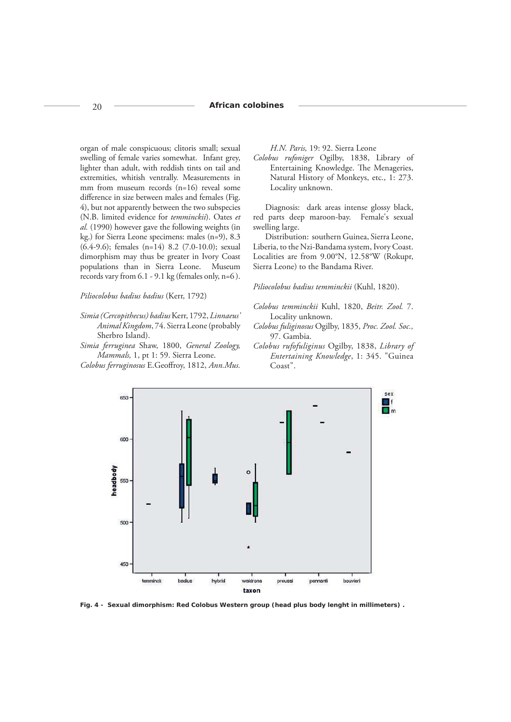### 20 **African colobines**

organ of male conspicuous; clitoris small; sexual swelling of female varies somewhat. Infant grey, lighter than adult, with reddish tints on tail and extremities, whitish ventrally. Measurements in mm from museum records (n=16) reveal some difference in size between males and females (Fig. 4), but not apparently between the two subspecies (N.B. limited evidence for *temminckii*). Oates *et al.* (1990) however gave the following weights (in kg.) for Sierra Leone specimens: males (n=9), 8.3 (6.4-9.6); females (n=14) 8.2 (7.0-10.0); sexual dimorphism may thus be greater in Ivory Coast populations than in Sierra Leone. Museum records vary from 6.1 - 9.1 kg (females only, n=6 ).

#### *Piliocolobus badius badius* (Kerr, 1792)

- *Simia (Cercopithecus) badius* Kerr, 1792, *Linnaeus' Animal Kingdom*, 74. Sierra Leone (probably Sherbro Island).
- *Simia ferruginea* Shaw, 1800, *General Zoology, Mammals,* 1, pt 1: 59. Sierra Leone.
- *Colobus ferruginosus* E.Geoffroy, 1812, Ann. Mus.

*H.N. Paris,* 19: 92. Sierra Leone

*Colobus rufoniger* Ogilby, 1838, Library of Entertaining Knowledge. The Menageries, Natural History of Monkeys, etc., 1: 273. Locality unknown.

Diagnosis: dark areas intense glossy black, red parts deep maroon-bay. Female's sexual swelling large.

Distribution: southern Guinea, Sierra Leone, Liberia, to the Nzi-Bandama system, Ivory Coast. Localities are from 9.00°N, 12.58°W (Rokupr, Sierra Leone) to the Bandama River.

# *Piliocolobus badius temminckii* (Kuhl, 1820).

- *Colobus temminckii* Kuhl, 1820, *Beitr. Zool.* 7. Locality unknown.
- *Colobus fuliginosus* Ogilby, 1835, *Proc. Zool. Soc.,* 97. Gambia.
- *Colobus rufofuliginus* Ogilby, 1838, *Library of Entertaining Knowledge*, 1: 345. "Guinea Coast".



*Fig. 4 - Sexual dimorphism: Red Colobus Western group (head plus body lenght in millimeters) .*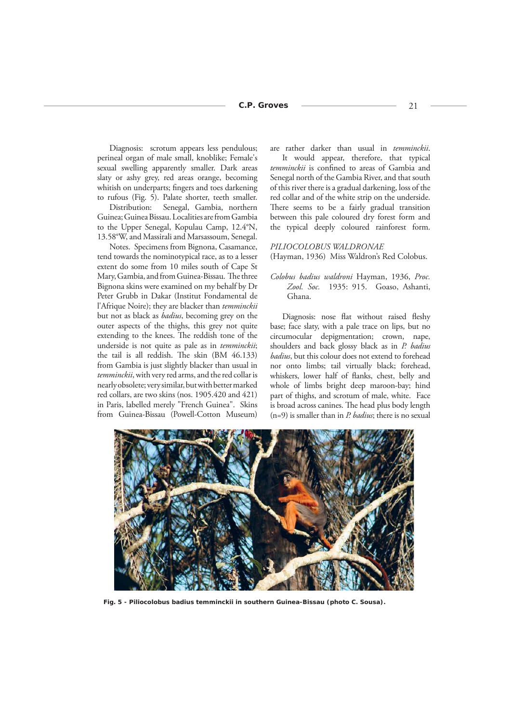Diagnosis: scrotum appears less pendulous; perineal organ of male small, knoblike; Female's sexual swelling apparently smaller. Dark areas slaty or ashy grey, red areas orange, becoming whitish on underparts; fingers and toes darkening to rufous (Fig. 5). Palate shorter, teeth smaller.

Distribution: Senegal, Gambia, northern Guinea; Guinea Bissau. Localities are from Gambia to the Upper Senegal, Kopulau Camp, 12.4°N, 13.58°W, and Massirali and Marsassoum, Senegal.

Notes. Specimens from Bignona, Casamance, tend towards the nominotypical race, as to a lesser extent do some from 10 miles south of Cape St Mary, Gambia, and from Guinea-Bissau. The three Bignona skins were examined on my behalf by Dr Peter Grubb in Dakar (Institut Fondamental de l'Afrique Noire); they are blacker than *temminckii* but not as black as *badius*, becoming grey on the outer aspects of the thighs, this grey not quite extending to the knees. The reddish tone of the underside is not quite as pale as in *temminckii*; the tail is all reddish. The skin (BM 46.133) from Gambia is just slightly blacker than usual in *temminckii*, with very red arms, and the red collar is nearly obsolete; very similar, but with better marked red collars, are two skins (nos. 1905.420 and 421) in Paris, labelled merely "French Guinea". Skins from Guinea-Bissau (Powell-Cotton Museum)

are rather darker than usual in *temminckii*.

It would appear, therefore, that typical temminckii is confined to areas of Gambia and Senegal north of the Gambia River, and that south of this river there is a gradual darkening, loss of the red collar and of the white strip on the underside. There seems to be a fairly gradual transition between this pale coloured dry forest form and the typical deeply coloured rainforest form.

*PILIOCOLOBUS WALDRONAE* (Hayman, 1936) Miss Waldron's Red Colobus.

*Colobus badius waldroni* Hayman, 1936, *Proc. Zool. Soc.* 1935: 915. Goaso, Ashanti, Ghana.

Diagnosis: nose flat without raised fleshy base; face slaty, with a pale trace on lips, but no circumocular depigmentation; crown, nape, shoulders and back glossy black as in *P. badius badius*, but this colour does not extend to forehead nor onto limbs; tail virtually black; forehead, whiskers, lower half of flanks, chest, belly and whole of limbs bright deep maroon-bay; hind part of thighs, and scrotum of male, white. Face is broad across canines. The head plus body length (n=9) is smaller than in *P. badius*; there is no sexual



*Fig. 5 -* **Piliocolobus badius temminckii** *in southern Guinea-Bissau (photo C. Sousa).*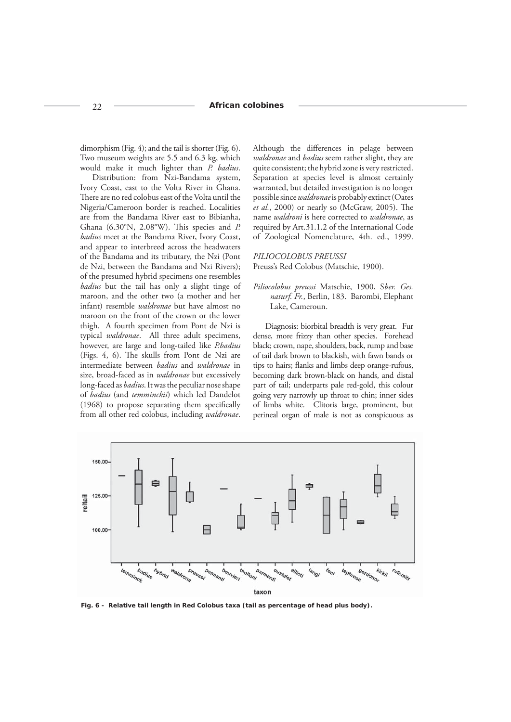dimorphism (Fig. 4); and the tail is shorter (Fig. 6). Two museum weights are 5.5 and 6.3 kg, which would make it much lighter than *P. badius*.

Distribution: from Nzi-Bandama system, Ivory Coast, east to the Volta River in Ghana. There are no red colobus east of the Volta until the Nigeria/Cameroon border is reached. Localities are from the Bandama River east to Bibianha, Ghana (6.30°N, 2.08°W). This species and *P. badius* meet at the Bandama River, Ivory Coast, and appear to interbreed across the headwaters of the Bandama and its tributary, the Nzi (Pont de Nzi, between the Bandama and Nzi Rivers); of the presumed hybrid specimens one resembles *badius* but the tail has only a slight tinge of maroon, and the other two (a mother and her infant) resemble *waldronae* but have almost no maroon on the front of the crown or the lower thigh. A fourth specimen from Pont de Nzi is typical *waldronae*. All three adult specimens, however, are large and long-tailed like *P.badius*  (Figs. 4, 6). The skulls from Pont de Nzi are intermediate between *badius* and *waldronae* in size, broad-faced as in *waldronae* but excessively long-faced as *badius*. It was the peculiar nose shape of *badius* (and *temminckii*) which led Dandelot  $(1968)$  to propose separating them specifically from all other red colobus, including *waldronae*.

Although the differences in pelage between *waldronae* and *badius* seem rather slight, they are quite consistent; the hybrid zone is very restricted. Separation at species level is almost certainly warranted, but detailed investigation is no longer possible since *waldronae* is probably extinct (Oates et al., 2000) or nearly so (McGraw, 2005). The name *waldroni* is here corrected to *waldronae*, as required by Art.31.1.2 of the International Code of Zoological Nomenclature, 4th. ed., 1999.

#### *PILIOCOLOBUS PREUSSI*

Preuss's Red Colobus (Matschie, 1900).

*Piliocolobus preussi* Matschie, 1900, S*ber. Ges. naturf. Fr.*, Berlin, 183. Barombi, Elephant Lake, Cameroun.

Diagnosis: biorbital breadth is very great. Fur dense, more frizzy than other species. Forehead black; crown, nape, shoulders, back, rump and base of tail dark brown to blackish, with fawn bands or tips to hairs; flanks and limbs deep orange-rufous, becoming dark brown-black on hands, and distal part of tail; underparts pale red-gold, this colour going very narrowly up throat to chin; inner sides of limbs white. Clitoris large, prominent, but perineal organ of male is not as conspicuous as



*Fig. 6 - Relative tail length in Red Colobus taxa (tail as percentage of head plus body).*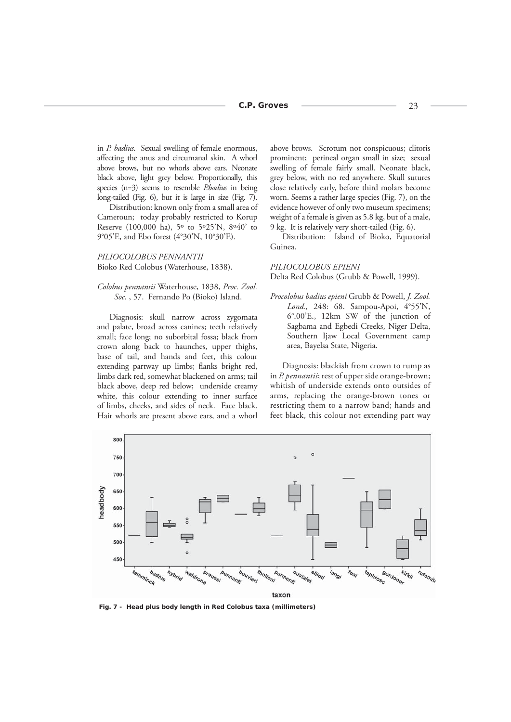in *P. badius*. Sexual swelling of female enormous, affecting the anus and circumanal skin. A whorl above brows, but no whorls above ears. Neonate black above, light grey below. Proportionally, this species (n=3) seems to resemble *P.badius* in being long-tailed (Fig. 6), but it is large in size (Fig. 7).

Distribution: known only from a small area of Cameroun; today probably restricted to Korup Reserve (100,000 ha), 5º to 5º25'N, 8º40' to 9°05'E, and Ebo forest (4°30'N, 10°30'E).

### *PILIOCOLOBUS PENNANTII* Bioko Red Colobus (Waterhouse, 1838).

### *Colobus pennantii* Waterhouse, 1838, *Proc. Zool. Soc.* , 57. Fernando Po (Bioko) Island.

Diagnosis: skull narrow across zygomata and palate, broad across canines; teeth relatively small; face long; no suborbital fossa; black from crown along back to haunches, upper thighs, base of tail, and hands and feet, this colour extending partway up limbs; flanks bright red, limbs dark red, somewhat blackened on arms; tail black above, deep red below; underside creamy white, this colour extending to inner surface of limbs, cheeks, and sides of neck. Face black. Hair whorls are present above ears, and a whorl

above brows. Scrotum not conspicuous; clitoris prominent; perineal organ small in size; sexual swelling of female fairly small. Neonate black, grey below, with no red anywhere. Skull sutures close relatively early, before third molars become worn. Seems a rather large species (Fig. 7), on the evidence however of only two museum specimens; weight of a female is given as 5.8 kg, but of a male, 9 kg. It is relatively very short-tailed (Fig. 6).

Distribution: Island of Bioko, Equatorial Guinea.

#### *PILIOCOLOBUS EPIENI*

Delta Red Colobus (Grubb & Powell, 1999).

*Procolobus badius epieni* Grubb & Powell, *J. Zool. Lond.,* 248: 68. Sampou-Apoi, 4°55'N, 6°.00'E., 12km SW of the junction of Sagbama and Egbedi Creeks, Niger Delta, Southern Ijaw Local Government camp area, Bayelsa State, Nigeria.

Diagnosis: blackish from crown to rump as in *P. pennantii*; rest of upper side orange-brown; whitish of underside extends onto outsides of arms, replacing the orange-brown tones or restricting them to a narrow band; hands and feet black, this colour not extending part way



*Fig. 7 - Head plus body length in Red Colobus taxa (millimeters)*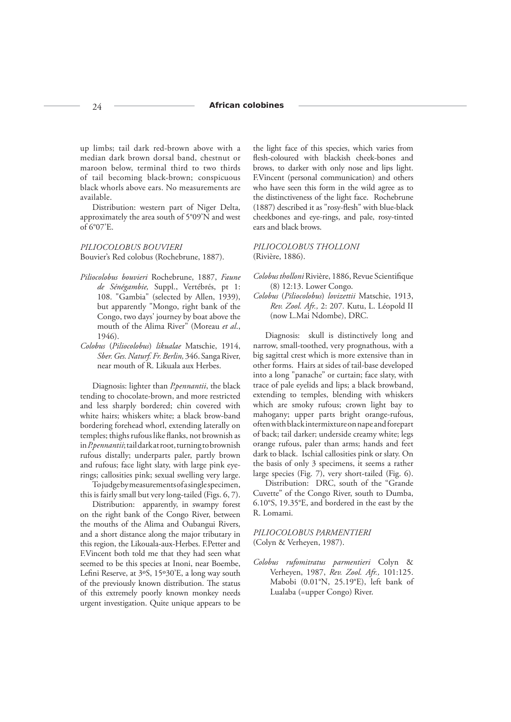### 24 **African colobines**

up limbs; tail dark red-brown above with a median dark brown dorsal band, chestnut or maroon below, terminal third to two thirds of tail becoming black-brown; conspicuous black whorls above ears. No measurements are available.

Distribution: western part of Niger Delta, approximately the area south of 5°09'N and west of 6°07'E.

# *PILIOCOLOBUS BOUVIERI* Bouvier's Red colobus (Rochebrune, 1887).

- *Piliocolobus bouvieri* Rochebrune, 1887, *Faune de Sénégambie,* Suppl., Vertébrés, pt 1: 108. "Gambia" (selected by Allen, 1939), but apparently "Mongo, right bank of the Congo, two days' journey by boat above the mouth of the Alima River" (Moreau *et al*., 1946).
- *Colobus* (*Piliocolobus*) *likualae* Matschie, 1914, *Sber. Ges. Naturf. Fr. Berlin,* 346. Sanga River, near mouth of R. Likuala aux Herbes.

Diagnosis: lighter than *P.pennantii*, the black tending to chocolate-brown, and more restricted and less sharply bordered; chin covered with white hairs; whiskers white; a black brow-band bordering forehead whorl, extending laterally on temples; thighs rufous like flanks, not brownish as in *P.pennantii*; tail dark at root, turning to brownish rufous distally; underparts paler, partly brown and rufous; face light slaty, with large pink eyerings; callosities pink; sexual swelling very large.

To judge by measurements of a single specimen, this is fairly small but very long-tailed (Figs. 6, 7).

Distribution: apparently, in swampy forest on the right bank of the Congo River, between the mouths of the Alima and Oubangui Rivers, and a short distance along the major tributary in this region, the Likouala-aux-Herbes. F.Petter and F.Vincent both told me that they had seen what seemed to be this species at Inoni, near Boembe, Lefini Reserve, at 3°S, 15°30'E, a long way south of the previously known distribution. The status of this extremely poorly known monkey needs urgent investigation. Quite unique appears to be the light face of this species, which varies from flesh-coloured with blackish cheek-bones and brows, to darker with only nose and lips light. F.Vincent (personal communication) and others who have seen this form in the wild agree as to the distinctiveness of the light face. Rochebrune (1887) described it as "rosy-flesh" with blue-black cheekbones and eye-rings, and pale, rosy-tinted ears and black brows.

### *PILIOCOLOBUS THOLLONI* (Rivière, 1886).

- Colobus tholloni Rivière, 1886, Revue Scientifique (8) 12:13. Lower Congo.
- *Colobus* (*Piliocolobus*) *lovizettii* Matschie, 1913, *Rev. Zool. Afr.,* 2: 207*.* Kutu, L. Léopold II (now L.Mai Ndombe), DRC.

Diagnosis: skull is distinctively long and narrow, small-toothed, very prognathous, with a big sagittal crest which is more extensive than in other forms. Hairs at sides of tail-base developed into a long "panache" or curtain; face slaty, with trace of pale eyelids and lips; a black browband, extending to temples, blending with whiskers which are smoky rufous; crown light bay to mahogany; upper parts bright orange-rufous, often with black intermixture on nape and forepart of back; tail darker; underside creamy white; legs orange rufous, paler than arms; hands and feet dark to black. Ischial callosities pink or slaty. On the basis of only 3 specimens, it seems a rather large species (Fig. 7), very short-tailed (Fig. 6).

Distribution: DRC, south of the "Grande Cuvette" of the Congo River, south to Dumba, 6.10°S, 19.35°E, and bordered in the east by the R. Lomami.

# *PILIOCOLOBUS PARMENTIERI*  (Colyn & Verheyen, 1987).

*Colobus rufomitratus parmentieri* Colyn & Verheyen, 1987, *Rev. Zool. Afr.,* 101:125. Mabobi (0.01°N, 25.19°E), left bank of Lualaba (=upper Congo) River.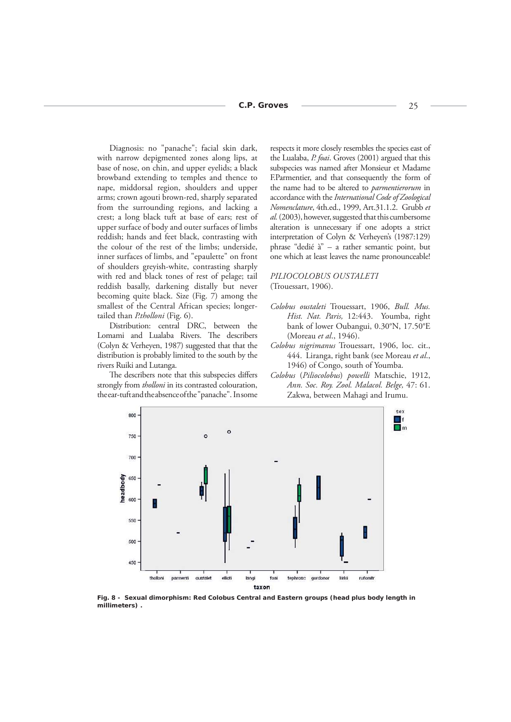Diagnosis: no "panache"; facial skin dark, with narrow depigmented zones along lips, at base of nose, on chin, and upper eyelids; a black browband extending to temples and thence to nape, middorsal region, shoulders and upper arms; crown agouti brown-red, sharply separated from the surrounding regions, and lacking a crest; a long black tuft at base of ears; rest of upper surface of body and outer surfaces of limbs reddish; hands and feet black, contrasting with the colour of the rest of the limbs; underside, inner surfaces of limbs, and "epaulette" on front of shoulders greyish-white, contrasting sharply with red and black tones of rest of pelage; tail reddish basally, darkening distally but never becoming quite black. Size (Fig. 7) among the smallest of the Central African species; longertailed than *P.tholloni* (Fig. 6).

Distribution: central DRC, between the Lomami and Lualaba Rivers. The describers (Colyn & Verheyen, 1987) suggested that that the distribution is probably limited to the south by the rivers Ruiki and Lutanga.

The describers note that this subspecies differs strongly from *tholloni* in its contrasted colouration, the ear-tuft and the absence of the "panache". In some

respects it more closely resembles the species east of the Lualaba, *P. foai*. Groves (2001) argued that this subspecies was named after Monsieur et Madame F.Parmentier, and that consequently the form of the name had to be altered to *parmentierorum* in accordance with the *International Code of Zoological Nomenclature*, 4th.ed., 1999, Art.31.1.2. Grubb *et al.* (2003), however, suggested that this cumbersome alteration is unnecessary if one adopts a strict interpretation of Colyn & Verheyen's (1987:129) phrase "dedié à" – a rather semantic point, but one which at least leaves the name pronounceable!

# *PILIOCOLOBUS OUSTALETI* (Trouessart, 1906).

- *Colobus oustaleti* Trouessart, 1906, *Bull. Mus. Hist. Nat. Paris,* 12:443. Youmba, right bank of lower Oubangui, 0.30°N, 17.50°E (Moreau *et al*., 1946).
- *Colobus nigrimanus* Trouessart, 1906, loc. cit., 444. Liranga, right bank (see Moreau *et al*., 1946) of Congo, south of Youmba.
- *Colobus* (*Piliocolobus*) *powelli* Matschie, 1912, *Ann. Soc. Roy. Zool. Malacol. Belge,* 47: 61. Zakwa, between Mahagi and Irumu.



*Fig. 8 - Sexual dimorphism: Red Colobus Central and Eastern groups (head plus body length in millimeters) .*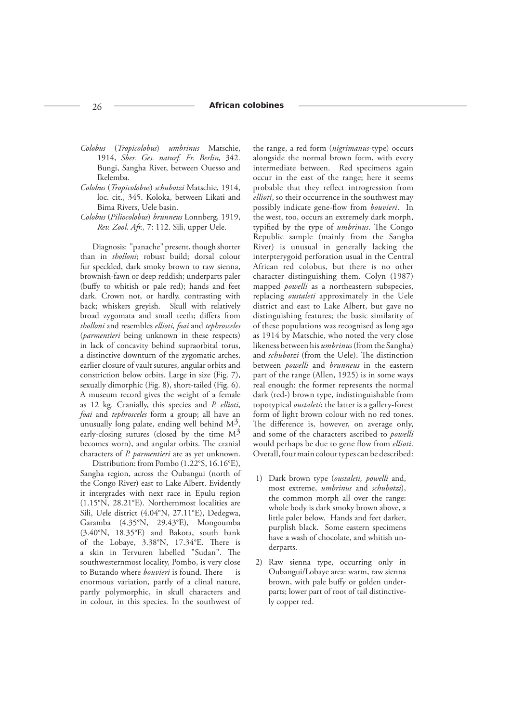### 26 **African colobines**

- *Colobus* (*Tropicolobus*) *umbrinus* Matschie, 1914, *Sber. Ges. naturf. Fr. Berlin,* 342. Bungi, Sangha River, between Ouesso and Ikelemba.
- *Colobus* (*Tropicolobus*) *schubotzi* Matschie, 1914, loc. cit., 345. Koloka, between Likati and Bima Rivers, Uele basin.
- *Colobus* (*Piliocolobus*) *brunneus* Lonnberg, 1919, *Rev. Zool. Afr.,* 7: 112. Sili, upper Uele.

Diagnosis: "panache" present, though shorter than in *tholloni*; robust build; dorsal colour fur speckled, dark smoky brown to raw sienna, brownish-fawn or deep reddish; underparts paler (buffy to whitish or pale red); hands and feet dark. Crown not, or hardly, contrasting with back; whiskers greyish. Skull with relatively broad zygomata and small teeth; differs from *tholloni* and resembles *ellioti, foai* and *tephrosceles* (*parmentieri* being unknown in these respects) in lack of concavity behind supraorbital torus, a distinctive downturn of the zygomatic arches, earlier closure of vault sutures, angular orbits and constriction below orbits. Large in size (Fig. 7), sexually dimorphic (Fig. 8), short-tailed (Fig. 6). A museum record gives the weight of a female as 12 kg. Cranially, this species and *P. ellioti*, *foai* and *tephrosceles* form a group; all have an unusually long palate, ending well behind  $M<sup>3</sup>$ early-closing sutures (closed by the time  $M<sup>3</sup>$ becomes worn), and angular orbits. The cranial characters of *P. parmentieri* are as yet unknown.

Distribution: from Pombo (1.22°S, 16.16°E), Sangha region, across the Oubangui (north of the Congo River) east to Lake Albert. Evidently it intergrades with next race in Epulu region (1.15°N, 28.21°E). Northernmost localities are Sili, Uele district (4.04°N, 27.11°E), Dedegwa, Garamba (4.35°N, 29.43°E), Mongoumba (3.40°N, 18.35°E) and Bakota, south bank of the Lobaye, 3.38°N, 17.34°E. There is a skin in Tervuren labelled "Sudan". The southwesternmost locality, Pombo, is very close to Butando where *bouvieri* is found. There is enormous variation, partly of a clinal nature, partly polymorphic, in skull characters and in colour, in this species. In the southwest of

the range, a red form (*nigrimanus*-type) occurs alongside the normal brown form, with every intermediate between. Red specimens again occur in the east of the range; here it seems probable that they reflect introgression from *ellioti*, so their occurrence in the southwest may possibly indicate gene-flow from *bouvieri*. In the west, too, occurs an extremely dark morph, typified by the type of *umbrinus*. The Congo Republic sample (mainly from the Sangha River) is unusual in generally lacking the interpterygoid perforation usual in the Central African red colobus, but there is no other character distinguishing them. Colyn (1987) mapped *powelli* as a northeastern subspecies, replacing *oustaleti* approximately in the Uele district and east to Lake Albert, but gave no distinguishing features; the basic similarity of of these populations was recognised as long ago as 1914 by Matschie, who noted the very close likeness between his *umbrinus* (from the Sangha) and *schubotzi* (from the Uele). The distinction between *powelli* and *brunneus* in the eastern part of the range (Allen, 1925) is in some ways real enough: the former represents the normal dark (red-) brown type, indistinguishable from topotypical *oustaleti*; the latter is a gallery-forest form of light brown colour with no red tones. The difference is, however, on average only, and some of the characters ascribed to *powelli* would perhaps be due to gene flow from *ellioti*. Overall, four main colour types can be described:

- 1) Dark brown type (*oustaleti, powelli* and, most extreme, *umbrinus* and *schubotzi*), the common morph all over the range: whole body is dark smoky brown above, a little paler below. Hands and feet darker, purplish black. Some eastern specimens have a wash of chocolate, and whitish underparts.
- 2) Raw sienna type, occurring only in Oubangui/Lobaye area: warm, raw sienna brown, with pale buffy or golden underparts; lower part of root of tail distinctively copper red.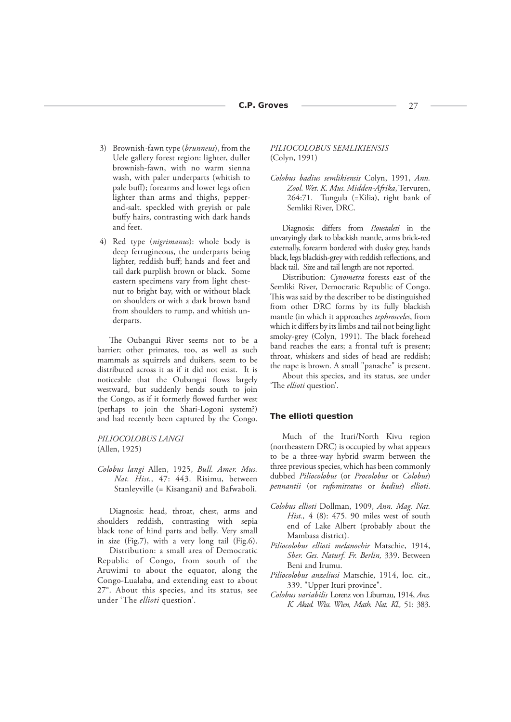- 3) Brownish-fawn type (*brunneus*), from the Uele gallery forest region: lighter, duller brownish-fawn, with no warm sienna wash, with paler underparts (whitish to pale buff); forearms and lower legs often lighter than arms and thighs, pepperand-salt. speckled with greyish or pale buffy hairs, contrasting with dark hands and feet.
- 4) Red type (*nigrimanus*): whole body is deep ferrugineous, the underparts being lighter, reddish buff; hands and feet and tail dark purplish brown or black. Some eastern specimens vary from light chestnut to bright bay, with or without black on shoulders or with a dark brown band from shoulders to rump, and whitish underparts.

The Oubangui River seems not to be a barrier; other primates, too, as well as such mammals as squirrels and duikers, seem to be distributed across it as if it did not exist. It is noticeable that the Oubangui flows largely westward, but suddenly bends south to join the Congo, as if it formerly flowed further west (perhaps to join the Shari-Logoni system?) and had recently been captured by the Congo.

# *PILIOCOLOBUS LANGI*  (Allen, 1925)

*Colobus langi* Allen, 1925, *Bull. Amer. Mus. Nat. Hist.,* 47: 443. Risimu, between Stanleyville (= Kisangani) and Bafwaboli.

Diagnosis: head, throat, chest, arms and shoulders reddish, contrasting with sepia black tone of hind parts and belly. Very small in size (Fig.7), with a very long tail (Fig.6).

Distribution: a small area of Democratic Republic of Congo, from south of the Aruwimi to about the equator, along the Congo-Lualaba, and extending east to about 27°. About this species, and its status, see under 'The *ellioti* question'.

# *PILIOCOLOBUS SEMLIKIENSIS* (Colyn, 1991)

*Colobus badius semlikiensis* Colyn, 1991, *Ann. Zool. Wet. K. Mus. Midden-Afrika*, Tervuren, 264:71. Tungula (=Kilia), right bank of Semliki River, DRC.

Diagnosis: differs from *P.oustaleti* in the unvaryingly dark to blackish mantle, arms brick-red externally, forearm bordered with dusky grey, hands black, legs blackish-grey with reddish reflections, and black tail. Size and tail length are not reported.

Distribution: *Cynometra* forests east of the Semliki River, Democratic Republic of Congo. This was said by the describer to be distinguished from other DRC forms by its fully blackish mantle (in which it approaches *tephrosceles*, from which it differs by its limbs and tail not being light smoky-grey (Colyn, 1991). The black forehead band reaches the ears; a frontal tuft is present; throat, whiskers and sides of head are reddish; the nape is brown. A small "panache" is present.

About this species, and its status, see under 'The *ellioti* question'.

#### **The** *ellioti* **question**

Much of the Ituri/North Kivu region (northeastern DRC) is occupied by what appears to be a three-way hybrid swarm between the three previous species, which has been commonly dubbed *Piliocolobus* (or *Procolobus* or *Colobus*) *pennantii* (or *rufomitratus* or *badius*) *ellioti*.

- *Colobus ellioti* Dollman, 1909, *Ann. Mag. Nat. Hist.,* 4 (8): 475. 90 miles west of south end of Lake Albert (probably about the Mambasa district).
- *Piliocolobus ellioti melanochir* Matschie, 1914, *Sber. Ges. Naturf. Fr. Berlin,* 339. Between Beni and Irumu.
- *Piliocolobus anzeliusi* Matschie, 1914, loc. cit., 339. "Upper Ituri province".
- *Colobus variabilis* Lorenz von Liburnau, 1914, *Anz. K. Akad. Wiss. Wien, Math. Nat. Kl.,* 51: 383.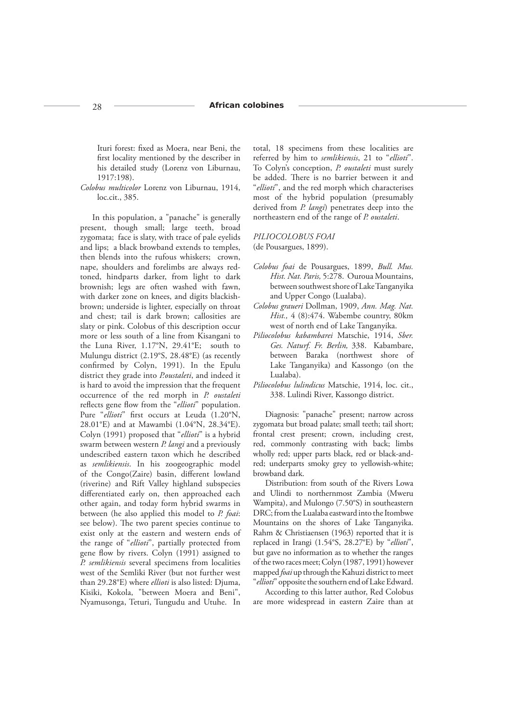Ituri forest: fixed as Moera, near Beni, the first locality mentioned by the describer in his detailed study (Lorenz von Liburnau, 1917:198).

*Colobus multicolor* Lorenz von Liburnau, 1914, loc.cit., 385.

In this population, a "panache" is generally present, though small; large teeth, broad zygomata; face is slaty, with trace of pale eyelids and lips; a black browband extends to temples, then blends into the rufous whiskers; crown, nape, shoulders and forelimbs are always redtoned, hindparts darker, from light to dark brownish; legs are often washed with fawn, with darker zone on knees, and digits blackishbrown; underside is lighter, especially on throat and chest; tail is dark brown; callosities are slaty or pink. Colobus of this description occur more or less south of a line from Kisangani to the Luna River, 1.17°N, 29.41°E; south to Mulungu district (2.19°S, 28.48°E) (as recently confirmed by Colyn, 1991). In the Epulu district they grade into *P.oustaleti*, and indeed it is hard to avoid the impression that the frequent occurrence of the red morph in *P. oustaleti*  reflects gene flow from the "*ellioti*" population. Pure "ellioti" first occurs at Leuda (1.20°N, 28.01°E) and at Mawambi (1.04°N, 28.34°E). Colyn (1991) proposed that "*ellioti*" is a hybrid swarm between western *P. langi* and a previously undescribed eastern taxon which he described as *semlikiensis*. In his zoogeographic model of the Congo(Zaire) basin, different lowland (riverine) and Rift Valley highland subspecies differentiated early on, then approached each other again, and today form hybrid swarms in between (he also applied this model to *P. foai*: see below). The two parent species continue to exist only at the eastern and western ends of the range of "*ellioti*", partially protected from gene flow by rivers. Colyn (1991) assigned to *P. semlikiensis* several specimens from localities west of the Semliki River (but not further west than 29.28°E) where *ellioti* is also listed: Djuma, Kisiki, Kokola, "between Moera and Beni", Nyamusonga, Teturi, Tungudu and Utuhe. In total, 18 specimens from these localities are referred by him to *semlikiensis*, 21 to "*ellioti*". To Colyn's conception, *P. oustaleti* must surely be added. There is no barrier between it and "*ellioti*", and the red morph which characterises most of the hybrid population (presumably derived from *P. langi*) penetrates deep into the northeastern end of the range of *P. oustaleti*.

### *PILIOCOLOBUS FOAI* (de Pousargues, 1899).

- *Colobus foai* de Pousargues, 1899, *Bull. Mus. Hist. Nat. Paris,* 5:278. Ouroua Mountains, between southwest shore of Lake Tanganyika and Upper Congo (Lualaba).
- *Colobus graueri* Dollman, 1909, *Ann. Mag. Nat. Hist.,* 4 (8):474. Wabembe country, 80km west of north end of Lake Tanganyika.
- *Piliocolobus kabambarei* Matschie, 1914, *Sber. Ges. Naturf. Fr. Berlin,* 338. Kabambare, between Baraka (northwest shore of Lake Tanganyika) and Kassongo (on the Lualaba).
- *Piliocolobus lulindicus* Matschie, 1914, loc. cit., 338. Lulindi River, Kassongo district.

Diagnosis: "panache" present; narrow across zygomata but broad palate; small teeth; tail short; frontal crest present; crown, including crest, red, commonly contrasting with back; limbs wholly red; upper parts black, red or black-andred; underparts smoky grey to yellowish-white; browband dark.

Distribution: from south of the Rivers Lowa and Ulindi to northernmost Zambia (Mweru Wampita), and Mulongo (7.50°S) in southeastern DRC; from the Lualaba eastward into the Itombwe Mountains on the shores of Lake Tanganyika. Rahm & Christiaensen (1963) reported that it is replaced in Irangi (1.54°S, 28.27°E) by "*ellioti*", but gave no information as to whether the ranges of the two races meet; Colyn (1987, 1991) however mapped *foai* up through the Kahuzi district to meet "*ellioti*" opposite the southern end of Lake Edward.

According to this latter author, Red Colobus are more widespread in eastern Zaire than at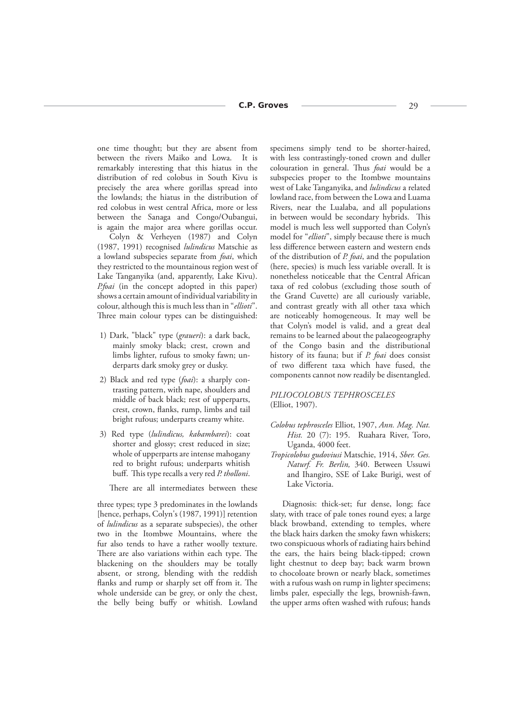one time thought; but they are absent from between the rivers Maiko and Lowa. It is remarkably interesting that this hiatus in the distribution of red colobus in South Kivu is precisely the area where gorillas spread into the lowlands; the hiatus in the distribution of red colobus in west central Africa, more or less between the Sanaga and Congo/Oubangui, is again the major area where gorillas occur.

Colyn & Verheyen (1987) and Colyn (1987, 1991) recognised *lulindicus* Matschie as a lowland subspecies separate from *foai*, which they restricted to the mountainous region west of Lake Tanganyika (and, apparently, Lake Kivu). *P.foai* (in the concept adopted in this paper) shows a certain amount of individual variability in colour, although this is much less than in "*ellioti*". Three main colour types can be distinguished:

- 1) Dark, "black" type (*graueri*): a dark back, mainly smoky black; crest, crown and limbs lighter, rufous to smoky fawn; underparts dark smoky grey or dusky.
- 2) Black and red type (*foai*): a sharply contrasting pattern, with nape, shoulders and middle of back black; rest of upperparts, crest, crown, flanks, rump, limbs and tail bright rufous; underparts creamy white.
- 3) Red type (*lulindicus, kabambarei*): coat shorter and glossy; crest reduced in size; whole of upperparts are intense mahogany red to bright rufous; underparts whitish buff. This type recalls a very red *P. tholloni*.

There are all intermediates between these

three types; type 3 predominates in the lowlands [hence, perhaps, Colyn's (1987, 1991)] retention of *lulindicus* as a separate subspecies), the other two in the Itombwe Mountains, where the fur also tends to have a rather woolly texture. There are also variations within each type. The blackening on the shoulders may be totally absent, or strong, blending with the reddish flanks and rump or sharply set off from it. The whole underside can be grey, or only the chest, the belly being buffy or whitish. Lowland

specimens simply tend to be shorter-haired, with less contrastingly-toned crown and duller colouration in general. Thus *foai* would be a subspecies proper to the Itombwe mountains west of Lake Tanganyika, and *lulindicus* a related lowland race, from between the Lowa and Luama Rivers, near the Lualaba, and all populations in between would be secondary hybrids. This model is much less well supported than Colyn's model for "*ellioti*", simply because there is much less difference between eastern and western ends of the distribution of *P. foai*, and the population (here, species) is much less variable overall. It is nonetheless noticeable that the Central African taxa of red colobus (excluding those south of the Grand Cuvette) are all curiously variable, and contrast greatly with all other taxa which are noticeably homogeneous. It may well be that Colyn's model is valid, and a great deal remains to be learned about the palaeogeography of the Congo basin and the distributional history of its fauna; but if *P. foai* does consist of two different taxa which have fused, the components cannot now readily be disentangled.

# *PILIOCOLOBUS TEPHROSCELES* (Elliot, 1907).

- *Colobus tephrosceles* Elliot, 1907, *Ann. Mag. Nat. Hist.* 20 (7): 195. Ruahara River, Toro, Uganda, 4000 feet.
- *Tropicolobus gudoviusi* Matschie, 1914, *Sber. Ges. Naturf. Fr. Berlin,* 340. Between Ussuwi and Ihangiro, SSE of Lake Burigi, west of Lake Victoria.

Diagnosis: thick-set; fur dense, long; face slaty, with trace of pale tones round eyes; a large black browband, extending to temples, where the black hairs darken the smoky fawn whiskers; two conspicuous whorls of radiating hairs behind the ears, the hairs being black-tipped; crown light chestnut to deep bay; back warm brown to chocoloate brown or nearly black, sometimes with a rufous wash on rump in lighter specimens; limbs paler, especially the legs, brownish-fawn, the upper arms often washed with rufous; hands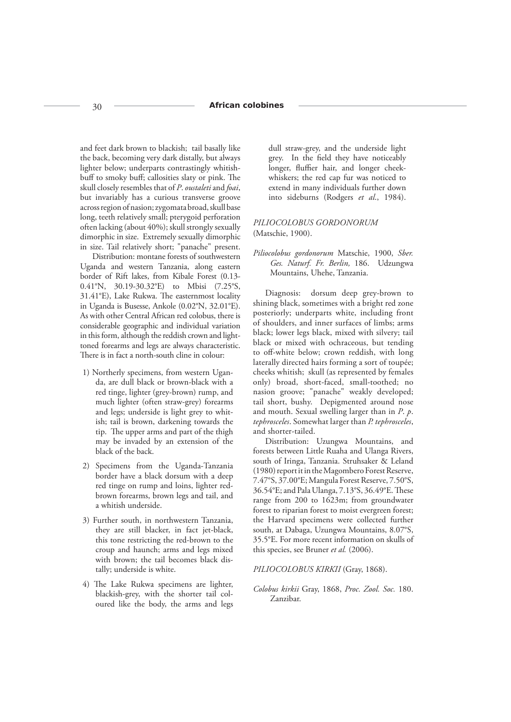and feet dark brown to blackish; tail basally like the back, becoming very dark distally, but always lighter below; underparts contrastingly whitishbuff to smoky buff; callosities slaty or pink. The skull closely resembles that of *P*. *oustaleti* and *foai*, but invariably has a curious transverse groove across region of nasion; zygomata broad, skull base long, teeth relatively small; pterygoid perforation often lacking (about 40%); skull strongly sexually dimorphic in size. Extremely sexually dimorphic in size. Tail relatively short; "panache" present.

Distribution: montane forests of southwestern Uganda and western Tanzania, along eastern border of Rift lakes, from Kibale Forest (0.13- 0.41°N, 30.19-30.32°E) to Mbisi (7.25°S, 31.41°E), Lake Rukwa. The easternmost locality in Uganda is Busesse, Ankole (0.02°N, 32.01°E). As with other Central African red colobus, there is considerable geographic and individual variation in this form, although the reddish crown and lighttoned forearms and legs are always characteristic. There is in fact a north-south cline in colour:

- 1) Northerly specimens, from western Uganda, are dull black or brown-black with a red tinge, lighter (grey-brown) rump, and much lighter (often straw-grey) forearms and legs; underside is light grey to whitish; tail is brown, darkening towards the tip. The upper arms and part of the thigh may be invaded by an extension of the black of the back.
- 2) Specimens from the Uganda-Tanzania border have a black dorsum with a deep red tinge on rump and loins, lighter redbrown forearms, brown legs and tail, and a whitish underside.
- 3) Further south, in northwestern Tanzania, they are still blacker, in fact jet-black, this tone restricting the red-brown to the croup and haunch; arms and legs mixed with brown; the tail becomes black distally; underside is white.
- 4) The Lake Rukwa specimens are lighter, blackish-grey, with the shorter tail coloured like the body, the arms and legs

dull straw-grey, and the underside light grey. In the field they have noticeably longer, fluffier hair, and longer cheekwhiskers; the red cap fur was noticed to extend in many individuals further down into sideburns (Rodgers *et al*., 1984).

# *PILIOCOLOBUS GORDONORUM* (Matschie, 1900).

*Piliocolobus gordonorum* Matschie, 1900, *Sber. Ges. Naturf. Fr. Berlin,* 186. Udzungwa Mountains, Uhehe, Tanzania.

Diagnosis: dorsum deep grey-brown to shining black, sometimes with a bright red zone posteriorly; underparts white, including front of shoulders, and inner surfaces of limbs; arms black; lower legs black, mixed with silvery; tail black or mixed with ochraceous, but tending to off-white below; crown reddish, with long laterally directed hairs forming a sort of toupée; cheeks whitish; skull (as represented by females only) broad, short-faced, small-toothed; no nasion groove; "panache" weakly developed; tail short, bushy. Depigmented around nose and mouth. Sexual swelling larger than in *P*. *p*. *tephrosceles*. Somewhat larger than *P. tephrosceles*, and shorter-tailed.

Distribution: Uzungwa Mountains, and forests between Little Ruaha and Ulanga Rivers, south of Iringa, Tanzania. Struhsaker & Leland (1980) report it in the Magombero Forest Reserve, 7.47°S, 37.00°E; Mangula Forest Reserve, 7.50°S, 36.54°E; and Pala Ulanga, 7.13°S, 36.49°E. These range from 200 to 1623m; from groundwater forest to riparian forest to moist evergreen forest; the Harvard specimens were collected further south, at Dabaga, Uzungwa Mountains, 8.07°S, 35.5°E. For more recent information on skulls of this species, see Bruner *et al.* (2006).

#### *PILIOCOLOBUS KIRKII* (Gray, 1868).

*Colobus kirkii* Gray, 1868, *Proc. Zool. Soc.* 180. Zanzibar.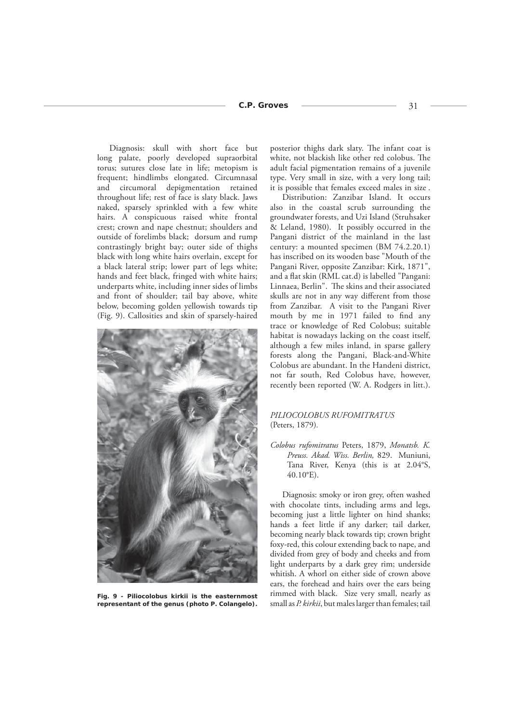Diagnosis: skull with short face but long palate, poorly developed supraorbital torus; sutures close late in life; metopism is frequent; hindlimbs elongated. Circumnasal and circumoral depigmentation retained throughout life; rest of face is slaty black. Jaws naked, sparsely sprinkled with a few white hairs. A conspicuous raised white frontal crest; crown and nape chestnut; shoulders and outside of forelimbs black; dorsum and rump contrastingly bright bay; outer side of thighs black with long white hairs overlain, except for a black lateral strip; lower part of legs white; hands and feet black, fringed with white hairs; underparts white, including inner sides of limbs and front of shoulder; tail bay above, white below, becoming golden yellowish towards tip (Fig. 9). Callosities and skin of sparsely-haired



*Fig. 9 -* **Piliocolobus kirkii** *is the easternmost representant of the genus (photo P. Colangelo).*

posterior thighs dark slaty. The infant coat is white, not blackish like other red colobus. The adult facial pigmentation remains of a juvenile type. Very small in size, with a very long tail; it is possible that females exceed males in size .

Distribution: Zanzibar Island. It occurs also in the coastal scrub surrounding the groundwater forests, and Uzi Island (Struhsaker & Leland, 1980). It possibly occurred in the Pangani district of the mainland in the last century: a mounted specimen (BM 74.2.20.1) has inscribed on its wooden base "Mouth of the Pangani River, opposite Zanzibar: Kirk, 1871", and a flat skin (RML cat.d) is labelled "Pangani: Linnaea, Berlin". The skins and their associated skulls are not in any way different from those from Zanzibar. A visit to the Pangani River mouth by me in 1971 failed to find any trace or knowledge of Red Colobus; suitable habitat is nowadays lacking on the coast itself, although a few miles inland, in sparse gallery forests along the Pangani, Black-and-White Colobus are abundant. In the Handeni district, not far south, Red Colobus have, however, recently been reported (W. A. Rodgers in litt.).

# *PILIOCOLOBUS RUFOMITRATUS* (Peters, 1879)*.*

*Colobus rufomitratus* Peters, 1879, *Monatsb. K. Preuss. Akad. Wiss. Berlin,* 829. Muniuni, Tana River, Kenya (this is at 2.04°S, 40.10°E).

Diagnosis: smoky or iron grey, often washed with chocolate tints, including arms and legs, becoming just a little lighter on hind shanks; hands a feet little if any darker; tail darker, becoming nearly black towards tip; crown bright foxy-red, this colour extending back to nape, and divided from grey of body and cheeks and from light underparts by a dark grey rim; underside whitish. A whorl on either side of crown above ears, the forehead and hairs over the ears being rimmed with black. Size very small, nearly as small as *P. kirkii*, but males larger than females; tail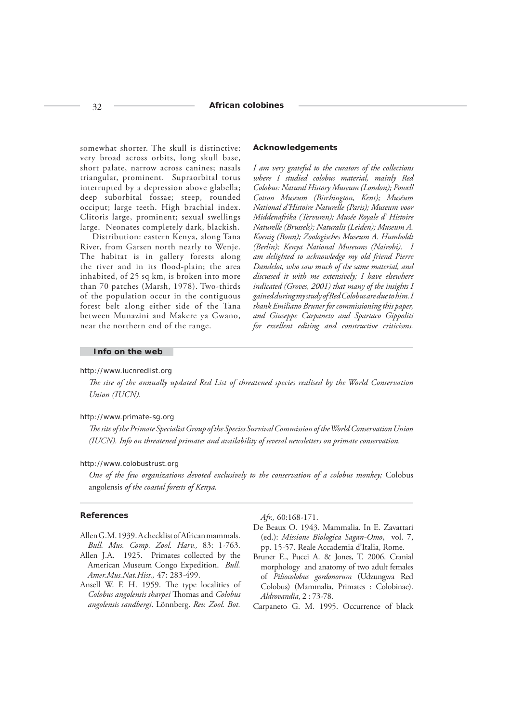somewhat shorter. The skull is distinctive: very broad across orbits, long skull base, short palate, narrow across canines; nasals triangular, prominent. Supraorbital torus interrupted by a depression above glabella; deep suborbital fossae; steep, rounded occiput; large teeth. High brachial index. Clitoris large, prominent; sexual swellings large. Neonates completely dark, blackish.

Distribution: eastern Kenya, along Tana River, from Garsen north nearly to Wenje. The habitat is in gallery forests along the river and in its flood-plain; the area inhabited, of 25 sq km, is broken into more than 70 patches (Marsh, 1978). Two-thirds of the population occur in the contiguous forest belt along either side of the Tana between Munazini and Makere ya Gwano, near the northern end of the range.

#### **Acknowledgements**

*I am very grateful to the curators of the collections where I studied colobus material, mainly Red Colobus: Natural History Museum (London); Powell Cotton Museum (Birchington, Kent); Muséum National d'Histoire Naturelle (Paris); Museum voor Middenafrika (Tervuren); Musée Royale d' Histoire Naturelle (Brussels); Naturalis (Leiden); Museum A. Koenig (Bonn); Zoologisches Museum A. Humboldt (Berlin); Kenya National Museums (Nairobi). I am delighted to acknowledge my old friend Pierre Dandelot, who saw much of the same material, and discussed it with me extensively; I have elsewhere indicated (Groves, 2001) that many of the insights I gained during my study of Red Colobus are due to him. I thank Emiliano Bruner for commissioning this paper, and Giuseppe Carpaneto and Spartaco Gippoliti for excellent editing and constructive criticisms.*

# **Info on the web**

#### http://www.iucnredlist.org

*The site of the annually updated Red List of threatened species realised by the World Conservation Union (IUCN).*

# http://www.primate-sg.org

*Th e site of the Primate Specialist Group of the Species Survival Commission of the World Conservation Union (IUCN). Info on threatened primates and availability of several newsletters on primate conservation.*

#### http://www.colobustrust.org

*One of the few organizations devoted exclusively to the conservation of a colobus monkey;* Colobus angolensis *of the coastal forests of Kenya.*

#### **References**

Allen G.M. 1939. A checklist of African mammals. *Bull. Mus. Comp. Zool. Harv.,* 83: 1-763.

- Allen J.A. 1925. Primates collected by the American Museum Congo Expedition. *Bull. Amer.Mus.Nat.Hist.,* 47: 283-499.
- Ansell W. F. H. 1959. The type localities of *Colobus angolensis sharpei* Th omas and *Colobus angolensis sandbergi*. Lönnberg. *Rev. Zool. Bot.*

*Afr.,* 60:168-171.

- De Beaux O. 1943. Mammalia. In E. Zavattari (ed.): *Missione Biologica Sagan-Omo*, vol. 7, pp. 15-57. Reale Accademia d'Italia, Rome.
- Bruner E., Pucci A. & Jones, T. 2006. Cranial morphology and anatomy of two adult females of *Piliocolobus gordonorum* (Udzungwa Red Colobus) (Mammalia, Primates : Colobinae). *Aldrovandia*, 2 : 73-78.
- Carpaneto G. M. 1995. Occurrence of black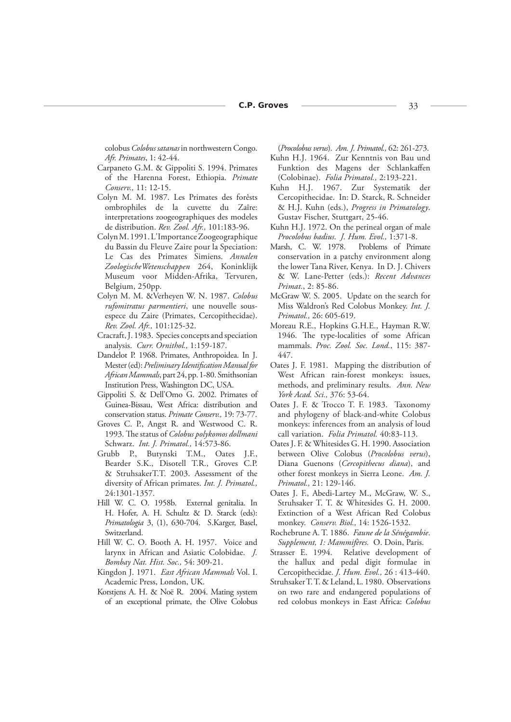colobus *Colobus satanas* in northwestern Congo. *Afr. Primates*, 1: 42-44.

- Carpaneto G.M. & Gippoliti S. 1994. Primates of the Harenna Forest, Ethiopia. *Primate Conserv.,* 11: 12-15.
- Colyn M. M. 1987. Les Primates des forêsts ombrophiles de la cuvette du Zaîre: interpretations zoogeographiques des modeles de distribution. *Rev. Zool. Afr.,* 101:183-96.
- Colyn M. 1991. L'Importance Zoogeographique du Bassin du Fleuve Zaire pour la Speciation: Le Cas des Primates Simiens. *Annalen ZoologischeWetenschappen* 264, Koninklijk Museum voor Midden-Afrika, Tervuren, Belgium, 250pp.
- Colyn M. M. &Verheyen W. N. 1987. *Colobus rufomitratus parmentieri*, une nouvelle sousespece du Zaire (Primates, Cercopithecidae). *Rev. Zool. Afr.,* 101:125-32.
- Cracraft, J. 1983. Species concepts and speciation analysis. *Curr. Ornithol.,* 1:159-187.
- Dandelot P. 1968. Primates, Anthropoidea. In J. Mester (ed): Preliminary Identification Manual for *African Mammals*, part 24, pp. 1-80. Smithsonian Institution Press, Washington DC, USA.
- Gippoliti S. & Dell'Omo G. 2002. Primates of Guinea-Bissau, West Africa: distribution and conservation status. *Primate Conserv.,* 19: 73-77.
- Groves C. P., Angst R. and Westwood C. R. 1993. The status of *Colobus polykomos dollmani* Schwarz. *Int. J. Primatol.,* 14:573-86.
- Grubb P., Butynski T.M., Oates J.F., Bearder S.K., Disotell T.R., Groves C.P. & StruhsakerT.T. 2003. Assessment of the diversity of African primates. *Int. J. Primatol.,* 24:1301-1357.
- Hill W. C. O. 1958b. External genitalia. In H. Hofer, A. H. Schultz & D. Starck (eds): *Primatologia* 3, (1), 630-704. S.Karger, Basel, Switzerland.
- Hill W. C. O. Booth A. H. 1957. Voice and larynx in African and Asiatic Colobidae. *J. Bombay Nat. Hist. Soc.,* 54: 309-21.
- Kingdon J. 1971. *East African Mammals* Vol. I. Academic Press, London, UK.
- Korstjens A. H. & Noë R. 2004. Mating system of an exceptional primate, the Olive Colobus

(*Procolobus verus*). *Am. J. Primatol.,* 62: 261-273.

- Kuhn H.J. 1964. Zur Kenntnis von Bau und Funktion des Magens der Schlankaffen (Colobinae). *Folia Primatol.,* 2:193-221.
- Kuhn H.J. 1967. Zur Systematik der Cercopithecidae. In: D. Starck, R. Schneider & H.J. Kuhn (eds.), *Progress in Primatology*. Gustav Fischer, Stuttgart, 25-46.
- Kuhn H.J. 1972. On the perineal organ of male *Procolobus badius*. *J. Hum. Evol.,* 1:371-8.
- Marsh, C. W. 1978. Problems of Primate conservation in a patchy environment along the lower Tana River, Kenya. In D. J. Chivers & W. Lane-Petter (eds.): *Recent Advances Primat.*, 2: 85-86.
- McGraw W. S. 2005. Update on the search for Miss Waldron's Red Colobus Monkey. *Int. J. Primatol.,* 26: 605-619.
- Moreau R.E., Hopkins G.H.E., Hayman R.W. 1946. The type-localities of some African mammals. *Proc. Zool. Soc. Lond.*, 115: 387- 447.
- Oates J. F. 1981. Mapping the distribution of West African rain-forest monkeys: issues, methods, and preliminary results. *Ann. New York Acad. Sci.,* 376: 53-64.
- Oates J. F. & Trocco T. F. 1983. Taxonomy and phylogeny of black-and-white Colobus monkeys: inferences from an analysis of loud call variation. *Folia Primatol.* 40:83-113.
- Oates J. F. & Whitesides G. H. 1990. Association between Olive Colobus (*Procolobus verus*), Diana Guenons (*Cercopithecus diana*), and other forest monkeys in Sierra Leone. *Am. J. Primatol.,* 21: 129-146.
- Oates J. F., Abedi-Lartey M., McGraw, W. S., Struhsaker T. T. & Whitesides G. H. 2000. Extinction of a West African Red Colobus monkey. *Conserv. Biol.,* 14: 1526-1532.
- Rochebrune A. T. 1886. *Faune de la Sénégambie*. *Supplement, 1: Mammifères.* O. Doin, Paris.
- Strasser E. 1994. Relative development of the hallux and pedal digit formulae in Cercopithecidae. *J. Hum. Evol.,* 26 : 413-440.
- Struhsaker T. T. & Leland, L. 1980. Observations on two rare and endangered populations of red colobus monkeys in East Africa: *Colobus*